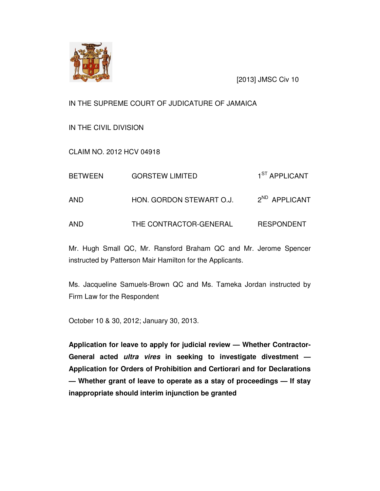

[2013] JMSC Civ 10

IN THE SUPREME COURT OF JUDICATURE OF JAMAICA

IN THE CIVIL DIVISION

CLAIM NO. 2012 HCV 04918

| <b>BETWEEN</b> | <b>GORSTEW LIMITED</b>   | 1 <sup>ST</sup> APPLICANT |
|----------------|--------------------------|---------------------------|
| AND            | HON. GORDON STEWART O.J. | 2 <sup>ND</sup> APPLICANT |
| AND            | THE CONTRACTOR-GENERAL   | <b>RESPONDENT</b>         |

Mr. Hugh Small QC, Mr. Ransford Braham QC and Mr. Jerome Spencer instructed by Patterson Mair Hamilton for the Applicants.

Ms. Jacqueline Samuels-Brown QC and Ms. Tameka Jordan instructed by Firm Law for the Respondent

October 10 & 30, 2012; January 30, 2013.

**Application for leave to apply for judicial review — Whether Contractor-General acted ultra vires in seeking to investigate divestment — Application for Orders of Prohibition and Certiorari and for Declarations — Whether grant of leave to operate as a stay of proceedings — If stay inappropriate should interim injunction be granted**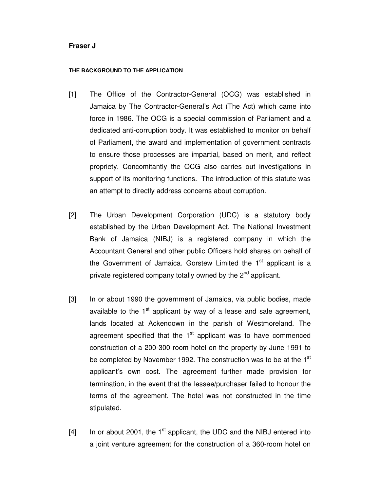## **Fraser J**

#### **THE BACKGROUND TO THE APPLICATION**

- [1] The Office of the Contractor-General (OCG) was established in Jamaica by The Contractor-General's Act (The Act) which came into force in 1986. The OCG is a special commission of Parliament and a dedicated anti-corruption body. It was established to monitor on behalf of Parliament, the award and implementation of government contracts to ensure those processes are impartial, based on merit, and reflect propriety. Concomitantly the OCG also carries out investigations in support of its monitoring functions. The introduction of this statute was an attempt to directly address concerns about corruption.
- [2] The Urban Development Corporation (UDC) is a statutory body established by the Urban Development Act. The National Investment Bank of Jamaica (NIBJ) is a registered company in which the Accountant General and other public Officers hold shares on behalf of the Government of Jamaica. Gorstew Limited the  $1<sup>st</sup>$  applicant is a private registered company totally owned by the 2<sup>nd</sup> applicant.
- [3] In or about 1990 the government of Jamaica, via public bodies, made available to the  $1<sup>st</sup>$  applicant by way of a lease and sale agreement, lands located at Ackendown in the parish of Westmoreland. The agreement specified that the  $1<sup>st</sup>$  applicant was to have commenced construction of a 200-300 room hotel on the property by June 1991 to be completed by November 1992. The construction was to be at the 1<sup>st</sup> applicant's own cost. The agreement further made provision for termination, in the event that the lessee/purchaser failed to honour the terms of the agreement. The hotel was not constructed in the time stipulated.
- $[4]$  In or about 2001, the 1<sup>st</sup> applicant, the UDC and the NIBJ entered into a joint venture agreement for the construction of a 360-room hotel on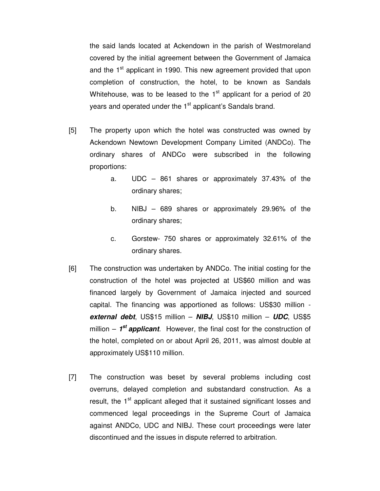the said lands located at Ackendown in the parish of Westmoreland covered by the initial agreement between the Government of Jamaica and the 1<sup>st</sup> applicant in 1990. This new agreement provided that upon completion of construction, the hotel, to be known as Sandals Whitehouse, was to be leased to the  $1<sup>st</sup>$  applicant for a period of 20 years and operated under the 1<sup>st</sup> applicant's Sandals brand.

- [5] The property upon which the hotel was constructed was owned by Ackendown Newtown Development Company Limited (ANDCo). The ordinary shares of ANDCo were subscribed in the following proportions:
	- a. UDC 861 shares or approximately 37.43% of the ordinary shares;
	- b. NIBJ 689 shares or approximately 29.96% of the ordinary shares;
	- c. Gorstew- 750 shares or approximately 32.61% of the ordinary shares.
- [6] The construction was undertaken by ANDCo. The initial costing for the construction of the hotel was projected at US\$60 million and was financed largely by Government of Jamaica injected and sourced capital. The financing was apportioned as follows: US\$30 million **external debt**, US\$15 million – **NIBJ**, US\$10 million – **UDC**, US\$5 million – 1<sup>st</sup> applicant. However, the final cost for the construction of the hotel, completed on or about April 26, 2011, was almost double at approximately US\$110 million.
- [7] The construction was beset by several problems including cost overruns, delayed completion and substandard construction. As a result, the 1<sup>st</sup> applicant alleged that it sustained significant losses and commenced legal proceedings in the Supreme Court of Jamaica against ANDCo, UDC and NIBJ. These court proceedings were later discontinued and the issues in dispute referred to arbitration.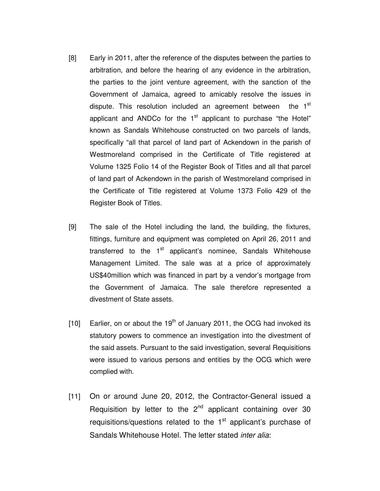- [8] Early in 2011, after the reference of the disputes between the parties to arbitration, and before the hearing of any evidence in the arbitration, the parties to the joint venture agreement, with the sanction of the Government of Jamaica, agreed to amicably resolve the issues in dispute. This resolution included an agreement between the 1<sup>st</sup> applicant and ANDCo for the  $1<sup>st</sup>$  applicant to purchase "the Hotel" known as Sandals Whitehouse constructed on two parcels of lands, specifically "all that parcel of land part of Ackendown in the parish of Westmoreland comprised in the Certificate of Title registered at Volume 1325 Folio 14 of the Register Book of Titles and all that parcel of land part of Ackendown in the parish of Westmoreland comprised in the Certificate of Title registered at Volume 1373 Folio 429 of the Register Book of Titles.
- [9] The sale of the Hotel including the land, the building, the fixtures, fittings, furniture and equipment was completed on April 26, 2011 and transferred to the 1<sup>st</sup> applicant's nominee, Sandals Whitehouse Management Limited. The sale was at a price of approximately US\$40million which was financed in part by a vendor's mortgage from the Government of Jamaica. The sale therefore represented a divestment of State assets.
- [10] Earlier, on or about the  $19<sup>th</sup>$  of January 2011, the OCG had invoked its statutory powers to commence an investigation into the divestment of the said assets. Pursuant to the said investigation, several Requisitions were issued to various persons and entities by the OCG which were complied with.
- [11] On or around June 20, 2012, the Contractor-General issued a Requisition by letter to the  $2<sup>nd</sup>$  applicant containing over 30 requisitions/questions related to the  $1<sup>st</sup>$  applicant's purchase of Sandals Whitehouse Hotel. The letter stated *inter alia*: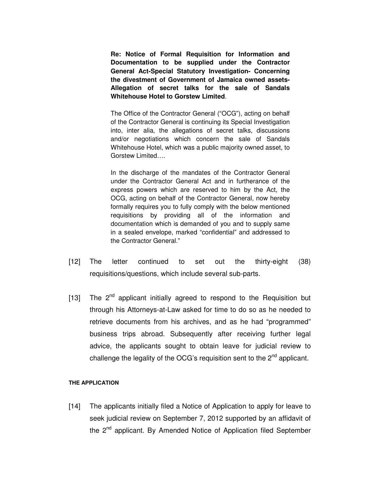**Re: Notice of Formal Requisition for Information and Documentation to be supplied under the Contractor General Act-Special Statutory Investigation- Concerning the divestment of Government of Jamaica owned assets-Allegation of secret talks for the sale of Sandals Whitehouse Hotel to Gorstew Limited**.

The Office of the Contractor General ("OCG"), acting on behalf of the Contractor General is continuing its Special Investigation into, inter alia, the allegations of secret talks, discussions and/or negotiations which concern the sale of Sandals Whitehouse Hotel, which was a public majority owned asset, to Gorstew Limited….

In the discharge of the mandates of the Contractor General under the Contractor General Act and in furtherance of the express powers which are reserved to him by the Act, the OCG, acting on behalf of the Contractor General, now hereby formally requires you to fully comply with the below mentioned requisitions by providing all of the information and documentation which is demanded of you and to supply same in a sealed envelope, marked "confidential" and addressed to the Contractor General."

- [12] The letter continued to set out the thirty-eight (38) requisitions/questions, which include several sub-parts.
- [13] The  $2^{nd}$  applicant initially agreed to respond to the Requisition but through his Attorneys-at-Law asked for time to do so as he needed to retrieve documents from his archives, and as he had "programmed" business trips abroad. Subsequently after receiving further legal advice, the applicants sought to obtain leave for judicial review to challenge the legality of the OCG's requisition sent to the  $2<sup>nd</sup>$  applicant.

#### **THE APPLICATION**

[14] The applicants initially filed a Notice of Application to apply for leave to seek judicial review on September 7, 2012 supported by an affidavit of the 2<sup>nd</sup> applicant. By Amended Notice of Application filed September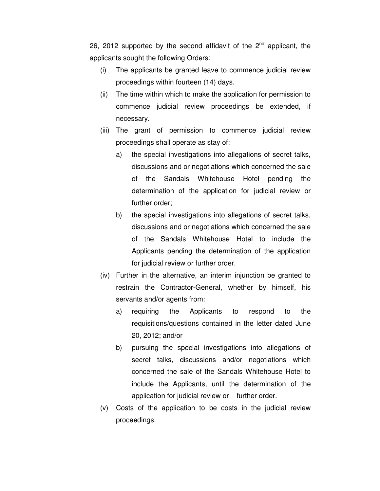26, 2012 supported by the second affidavit of the  $2^{nd}$  applicant, the applicants sought the following Orders:

- (i) The applicants be granted leave to commence judicial review proceedings within fourteen (14) days.
- (ii) The time within which to make the application for permission to commence judicial review proceedings be extended, if necessary.
- (iii) The grant of permission to commence judicial review proceedings shall operate as stay of:
	- a) the special investigations into allegations of secret talks, discussions and or negotiations which concerned the sale of the Sandals Whitehouse Hotel pending the determination of the application for judicial review or further order;
	- b) the special investigations into allegations of secret talks, discussions and or negotiations which concerned the sale of the Sandals Whitehouse Hotel to include the Applicants pending the determination of the application for judicial review or further order.
- (iv) Further in the alternative, an interim injunction be granted to restrain the Contractor-General, whether by himself, his servants and/or agents from:
	- a) requiring the Applicants to respond to the requisitions/questions contained in the letter dated June 20, 2012; and/or
	- b) pursuing the special investigations into allegations of secret talks, discussions and/or negotiations which concerned the sale of the Sandals Whitehouse Hotel to include the Applicants, until the determination of the application for judicial review or further order.
- (v) Costs of the application to be costs in the judicial review proceedings.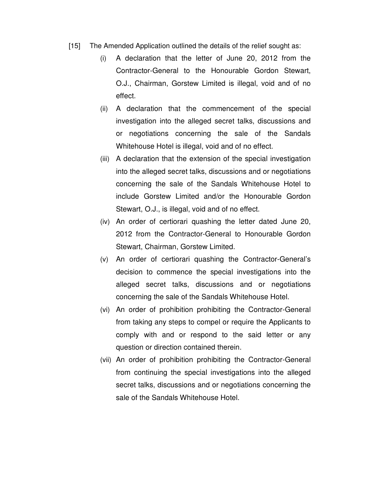- [15] The Amended Application outlined the details of the relief sought as:
	- (i) A declaration that the letter of June 20, 2012 from the Contractor-General to the Honourable Gordon Stewart, O.J., Chairman, Gorstew Limited is illegal, void and of no effect.
	- (ii) A declaration that the commencement of the special investigation into the alleged secret talks, discussions and or negotiations concerning the sale of the Sandals Whitehouse Hotel is illegal, void and of no effect.
	- (iii) A declaration that the extension of the special investigation into the alleged secret talks, discussions and or negotiations concerning the sale of the Sandals Whitehouse Hotel to include Gorstew Limited and/or the Honourable Gordon Stewart, O.J., is illegal, void and of no effect.
	- (iv) An order of certiorari quashing the letter dated June 20, 2012 from the Contractor-General to Honourable Gordon Stewart, Chairman, Gorstew Limited.
	- (v) An order of certiorari quashing the Contractor-General's decision to commence the special investigations into the alleged secret talks, discussions and or negotiations concerning the sale of the Sandals Whitehouse Hotel.
	- (vi) An order of prohibition prohibiting the Contractor-General from taking any steps to compel or require the Applicants to comply with and or respond to the said letter or any question or direction contained therein.
	- (vii) An order of prohibition prohibiting the Contractor-General from continuing the special investigations into the alleged secret talks, discussions and or negotiations concerning the sale of the Sandals Whitehouse Hotel.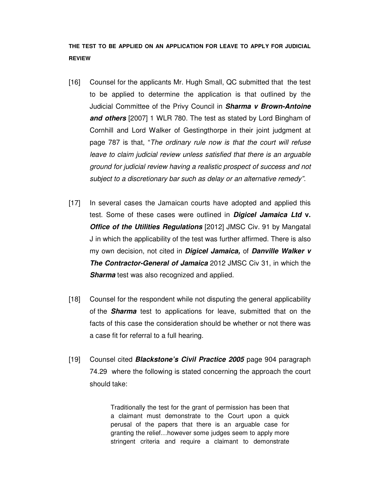# **THE TEST TO BE APPLIED ON AN APPLICATION FOR LEAVE TO APPLY FOR JUDICIAL REVIEW**

- [16] Counsel for the applicants Mr. Hugh Small, QC submitted that the test to be applied to determine the application is that outlined by the Judicial Committee of the Privy Council in **Sharma v Brown-Antoine and others** [2007] 1 WLR 780. The test as stated by Lord Bingham of Cornhill and Lord Walker of Gestingthorpe in their joint judgment at page 787 is that, "The ordinary rule now is that the court will refuse leave to claim judicial review unless satisfied that there is an arguable ground for judicial review having a realistic prospect of success and not subject to a discretionary bar such as delay or an alternative remedy".
- [17] In several cases the Jamaican courts have adopted and applied this test. Some of these cases were outlined in **Digicel Jamaica Ltd v.** *Office of the Utilities Regulations* [2012] JMSC Civ. 91 by Mangatal J in which the applicability of the test was further affirmed. There is also my own decision, not cited in **Digicel Jamaica,** of **Danville Walker v The Contractor-General of Jamaica** 2012 JMSC Civ 31, in which the **Sharma** test was also recognized and applied.
- [18] Counsel for the respondent while not disputing the general applicability of the **Sharma** test to applications for leave, submitted that on the facts of this case the consideration should be whether or not there was a case fit for referral to a full hearing.
- [19] Counsel cited **Blackstone's Civil Practice 2005** page 904 paragraph 74.29 where the following is stated concerning the approach the court should take:

Traditionally the test for the grant of permission has been that a claimant must demonstrate to the Court upon a quick perusal of the papers that there is an arguable case for granting the relief…however some judges seem to apply more stringent criteria and require a claimant to demonstrate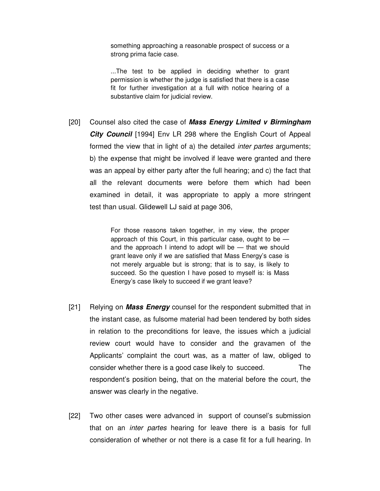something approaching a reasonable prospect of success or a strong prima facie case.

...The test to be applied in deciding whether to grant permission is whether the judge is satisfied that there is a case fit for further investigation at a full with notice hearing of a substantive claim for judicial review.

[20] Counsel also cited the case of **Mass Energy Limited v Birmingham City Council** [1994] Env LR 298 where the English Court of Appeal formed the view that in light of a) the detailed *inter partes* arguments; b) the expense that might be involved if leave were granted and there was an appeal by either party after the full hearing; and c) the fact that all the relevant documents were before them which had been examined in detail, it was appropriate to apply a more stringent test than usual. Glidewell LJ said at page 306,

> For those reasons taken together, in my view, the proper approach of this Court, in this particular case, ought to be  $$ and the approach I intend to adopt will be — that we should grant leave only if we are satisfied that Mass Energy's case is not merely arguable but is strong; that is to say, is likely to succeed. So the question I have posed to myself is: is Mass Energy's case likely to succeed if we grant leave?

- [21] Relying on **Mass Energy** counsel for the respondent submitted that in the instant case, as fulsome material had been tendered by both sides in relation to the preconditions for leave, the issues which a judicial review court would have to consider and the gravamen of the Applicants' complaint the court was, as a matter of law, obliged to consider whether there is a good case likely to succeed. The respondent's position being, that on the material before the court, the answer was clearly in the negative.
- [22] Two other cases were advanced in support of counsel's submission that on an inter partes hearing for leave there is a basis for full consideration of whether or not there is a case fit for a full hearing. In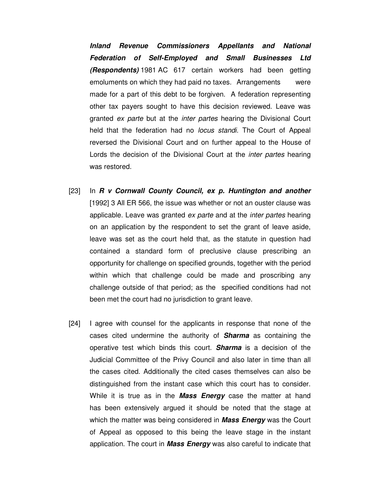**Inland Revenue Commissioners Appellants and National Federation of Self-Employed and Small Businesses Ltd (Respondents)** 1981 AC 617 certain workers had been getting emoluments on which they had paid no taxes. Arrangements were made for a part of this debt to be forgiven. A federation representing other tax payers sought to have this decision reviewed. Leave was granted ex parte but at the *inter partes* hearing the Divisional Court held that the federation had no *locus standi*. The Court of Appeal reversed the Divisional Court and on further appeal to the House of Lords the decision of the Divisional Court at the *inter partes* hearing was restored.

- [23] In **R v Cornwall County Council, ex p. Huntington and another** [1992] 3 All ER 566, the issue was whether or not an ouster clause was applicable. Leave was granted ex parte and at the inter partes hearing on an application by the respondent to set the grant of leave aside, leave was set as the court held that, as the statute in question had contained a standard form of preclusive clause prescribing an opportunity for challenge on specified grounds, together with the period within which that challenge could be made and proscribing any challenge outside of that period; as the specified conditions had not been met the court had no jurisdiction to grant leave.
- [24] I agree with counsel for the applicants in response that none of the cases cited undermine the authority of **Sharma** as containing the operative test which binds this court. **Sharma** is a decision of the Judicial Committee of the Privy Council and also later in time than all the cases cited. Additionally the cited cases themselves can also be distinguished from the instant case which this court has to consider. While it is true as in the **Mass Energy** case the matter at hand has been extensively argued it should be noted that the stage at which the matter was being considered in **Mass Energy** was the Court of Appeal as opposed to this being the leave stage in the instant application. The court in **Mass Energy** was also careful to indicate that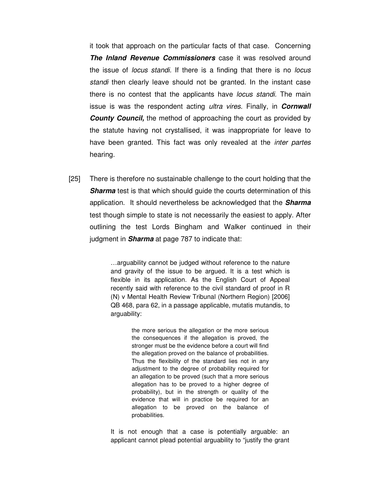it took that approach on the particular facts of that case. Concerning **The Inland Revenue Commissioners** case it was resolved around the issue of *locus standi*. If there is a finding that there is no *locus*  standi then clearly leave should not be granted. In the instant case there is no contest that the applicants have *locus standi*. The main issue is was the respondent acting ultra vires. Finally, in **Cornwall County Council,** the method of approaching the court as provided by the statute having not crystallised, it was inappropriate for leave to have been granted. This fact was only revealed at the *inter partes* hearing.

[25] There is therefore no sustainable challenge to the court holding that the **Sharma** test is that which should guide the courts determination of this application. It should nevertheless be acknowledged that the **Sharma** test though simple to state is not necessarily the easiest to apply. After outlining the test Lords Bingham and Walker continued in their judgment in **Sharma** at page 787 to indicate that:

> …arguability cannot be judged without reference to the nature and gravity of the issue to be argued. It is a test which is flexible in its application. As the English Court of Appeal recently said with reference to the civil standard of proof in R (N) v Mental Health Review Tribunal (Northern Region) [2006] QB 468, para 62, in a passage applicable, mutatis mutandis, to arguability:

> > the more serious the allegation or the more serious the consequences if the allegation is proved, the stronger must be the evidence before a court will find the allegation proved on the balance of probabilities. Thus the flexibility of the standard lies not in any adjustment to the degree of probability required for an allegation to be proved (such that a more serious allegation has to be proved to a higher degree of probability), but in the strength or quality of the evidence that will in practice be required for an allegation to be proved on the balance of probabilities.

It is not enough that a case is potentially arguable: an applicant cannot plead potential arguability to "justify the grant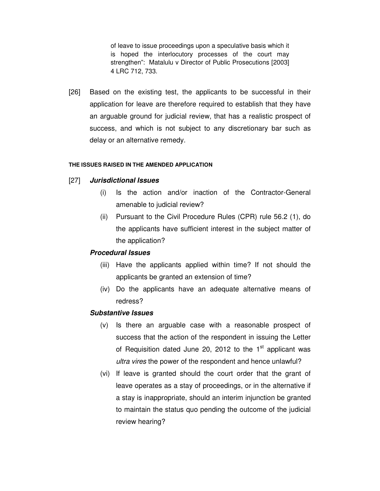of leave to issue proceedings upon a speculative basis which it is hoped the interlocutory processes of the court may strengthen": Matalulu v Director of Public Prosecutions [2003] 4 LRC 712, 733.

[26] Based on the existing test, the applicants to be successful in their application for leave are therefore required to establish that they have an arguable ground for judicial review, that has a realistic prospect of success, and which is not subject to any discretionary bar such as delay or an alternative remedy.

#### **THE ISSUES RAISED IN THE AMENDED APPLICATION**

## [27] **Jurisdictional Issues**

- (i) Is the action and/or inaction of the Contractor-General amenable to judicial review?
- (ii) Pursuant to the Civil Procedure Rules (CPR) rule 56.2 (1), do the applicants have sufficient interest in the subject matter of the application?

## **Procedural Issues**

- (iii) Have the applicants applied within time? If not should the applicants be granted an extension of time?
- (iv) Do the applicants have an adequate alternative means of redress?

#### **Substantive Issues**

- (v) Is there an arguable case with a reasonable prospect of success that the action of the respondent in issuing the Letter of Requisition dated June 20, 2012 to the  $1<sup>st</sup>$  applicant was ultra vires the power of the respondent and hence unlawful?
- (vi) If leave is granted should the court order that the grant of leave operates as a stay of proceedings, or in the alternative if a stay is inappropriate, should an interim injunction be granted to maintain the status quo pending the outcome of the judicial review hearing?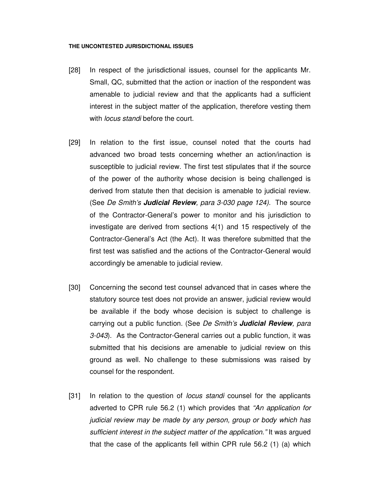#### **THE UNCONTESTED JURISDICTIONAL ISSUES**

- [28] In respect of the jurisdictional issues, counsel for the applicants Mr. Small, QC, submitted that the action or inaction of the respondent was amenable to judicial review and that the applicants had a sufficient interest in the subject matter of the application, therefore vesting them with *locus standi* before the court.
- [29] In relation to the first issue, counsel noted that the courts had advanced two broad tests concerning whether an action/inaction is susceptible to judicial review. The first test stipulates that if the source of the power of the authority whose decision is being challenged is derived from statute then that decision is amenable to judicial review. (See De Smith's **Judicial Review**, para 3-030 page 124). The source of the Contractor-General's power to monitor and his jurisdiction to investigate are derived from sections 4(1) and 15 respectively of the Contractor-General's Act (the Act). It was therefore submitted that the first test was satisfied and the actions of the Contractor-General would accordingly be amenable to judicial review.
- [30] Concerning the second test counsel advanced that in cases where the statutory source test does not provide an answer, judicial review would be available if the body whose decision is subject to challenge is carrying out a public function. (See De Smith's **Judicial Review**, para 3-043). As the Contractor-General carries out a public function, it was submitted that his decisions are amenable to judicial review on this ground as well. No challenge to these submissions was raised by counsel for the respondent.
- [31] In relation to the question of *locus standi* counsel for the applicants adverted to CPR rule 56.2 (1) which provides that "An application for judicial review may be made by any person, group or body which has sufficient interest in the subject matter of the application." It was argued that the case of the applicants fell within CPR rule 56.2 (1) (a) which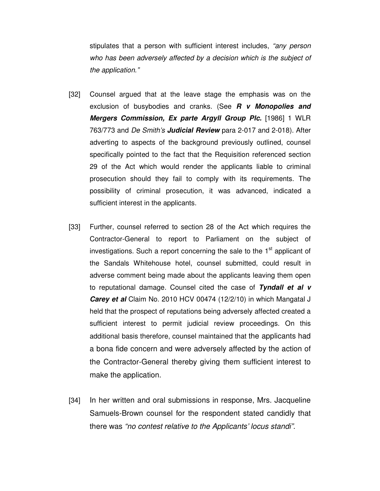stipulates that a person with sufficient interest includes, "any person who has been adversely affected by a decision which is the subject of the application."

- [32] Counsel argued that at the leave stage the emphasis was on the exclusion of busybodies and cranks. (See **R v Monopolies and Mergers Commission, Ex parte Argyll Group Plc.** [1986] 1 WLR 763/773 and De Smith's **Judicial Review** para 2-017 and 2-018). After adverting to aspects of the background previously outlined, counsel specifically pointed to the fact that the Requisition referenced section 29 of the Act which would render the applicants liable to criminal prosecution should they fail to comply with its requirements. The possibility of criminal prosecution, it was advanced, indicated a sufficient interest in the applicants.
- [33] Further, counsel referred to section 28 of the Act which requires the Contractor-General to report to Parliament on the subject of investigations. Such a report concerning the sale to the  $1<sup>st</sup>$  applicant of the Sandals Whitehouse hotel, counsel submitted, could result in adverse comment being made about the applicants leaving them open to reputational damage. Counsel cited the case of **Tyndall et al v Carey et al** Claim No. 2010 HCV 00474 (12/2/10) in which Mangatal J held that the prospect of reputations being adversely affected created a sufficient interest to permit judicial review proceedings. On this additional basis therefore, counsel maintained that the applicants had a bona fide concern and were adversely affected by the action of the Contractor-General thereby giving them sufficient interest to make the application.
- [34] In her written and oral submissions in response, Mrs. Jacqueline Samuels-Brown counsel for the respondent stated candidly that there was "no contest relative to the Applicants' locus standi".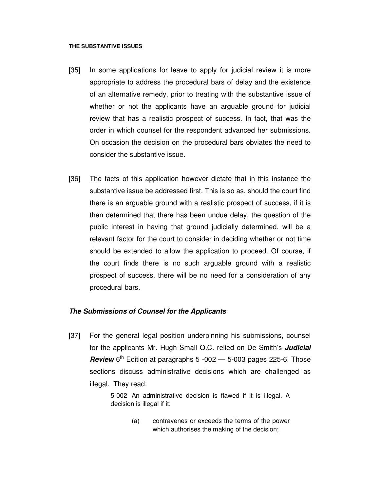#### **THE SUBSTANTIVE ISSUES**

- [35] In some applications for leave to apply for judicial review it is more appropriate to address the procedural bars of delay and the existence of an alternative remedy, prior to treating with the substantive issue of whether or not the applicants have an arguable ground for judicial review that has a realistic prospect of success. In fact, that was the order in which counsel for the respondent advanced her submissions. On occasion the decision on the procedural bars obviates the need to consider the substantive issue.
- [36] The facts of this application however dictate that in this instance the substantive issue be addressed first. This is so as, should the court find there is an arguable ground with a realistic prospect of success, if it is then determined that there has been undue delay, the question of the public interest in having that ground judicially determined, will be a relevant factor for the court to consider in deciding whether or not time should be extended to allow the application to proceed. Of course, if the court finds there is no such arguable ground with a realistic prospect of success, there will be no need for a consideration of any procedural bars.

## **The Submissions of Counsel for the Applicants**

[37] For the general legal position underpinning his submissions, counsel for the applicants Mr. Hugh Small Q.C. relied on De Smith's **Judicial Review**  $6^{th}$  Edition at paragraphs 5 -002  $-$  5-003 pages 225-6. Those sections discuss administrative decisions which are challenged as illegal. They read:

> 5-002 An administrative decision is flawed if it is illegal. A decision is illegal if it:

> > (a) contravenes or exceeds the terms of the power which authorises the making of the decision;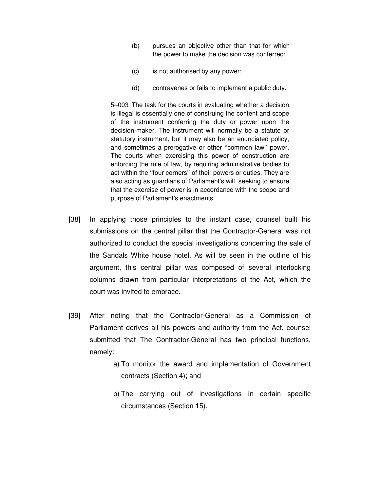- (b) pursues an objective other than that for which the power to make the decision was conferred;
- (c) is not authorised by any power;
- (d) contravenes or fails to implement a public duty.

 5–003 The task for the courts in evaluating whether a decision is illegal is essentially one of construing the content and scope of the instrument conferring the duty or power upon the decision-maker. The instrument will normally be a statute or statutory instrument, but it may also be an enunciated policy, and sometimes a prerogative or other ''common law'' power. The courts when exercising this power of construction are enforcing the rule of law, by requiring administrative bodies to act within the ''four corners'' of their powers or duties. They are also acting as guardians of Parliament's will, seeking to ensure that the exercise of power is in accordance with the scope and purpose of Parliament's enactments.

- [38] In applying those principles to the instant case, counsel built his submissions on the central pillar that the Contractor-General was not authorized to conduct the special investigations concerning the sale of the Sandals White house hotel. As will be seen in the outline of his argument, this central pillar was composed of several interlocking columns drawn from particular interpretations of the Act, which the court was invited to embrace.
- [39] After noting that the Contractor-General as a Commission of Parliament derives all his powers and authority from the Act, counsel submitted that The Contractor-General has two principal functions, namely:
	- a) To monitor the award and implementation of Government contracts (Section 4); and
	- b) The carrying out of investigations in certain specific circumstances (Section 15).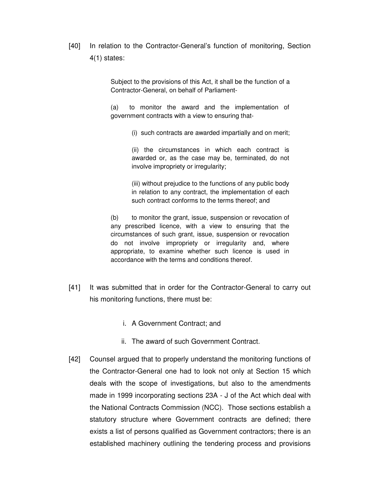[40] In relation to the Contractor-General's function of monitoring, Section 4(1) states:

> Subject to the provisions of this Act, it shall be the function of a Contractor-General, on behalf of Parliament-

> (a) to monitor the award and the implementation of government contracts with a view to ensuring that-

> > (i) such contracts are awarded impartially and on merit;

(ii) the circumstances in which each contract is awarded or, as the case may be, terminated, do not involve impropriety or irregularity;

(iii) without prejudice to the functions of any public body in relation to any contract, the implementation of each such contract conforms to the terms thereof; and

(b) to monitor the grant, issue, suspension or revocation of any prescribed licence, with a view to ensuring that the circumstances of such grant, issue, suspension or revocation do not involve impropriety or irregularity and, where appropriate, to examine whether such licence is used in accordance with the terms and conditions thereof.

- [41] It was submitted that in order for the Contractor-General to carry out his monitoring functions, there must be:
	- i. A Government Contract; and
	- ii. The award of such Government Contract.
- [42] Counsel argued that to properly understand the monitoring functions of the Contractor-General one had to look not only at Section 15 which deals with the scope of investigations, but also to the amendments made in 1999 incorporating sections 23A - J of the Act which deal with the National Contracts Commission (NCC). Those sections establish a statutory structure where Government contracts are defined; there exists a list of persons qualified as Government contractors; there is an established machinery outlining the tendering process and provisions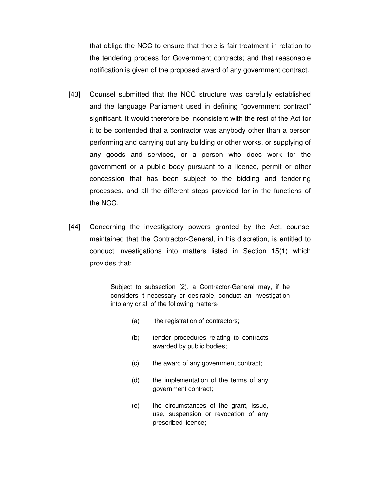that oblige the NCC to ensure that there is fair treatment in relation to the tendering process for Government contracts; and that reasonable notification is given of the proposed award of any government contract.

- [43] Counsel submitted that the NCC structure was carefully established and the language Parliament used in defining "government contract" significant. It would therefore be inconsistent with the rest of the Act for it to be contended that a contractor was anybody other than a person performing and carrying out any building or other works, or supplying of any goods and services, or a person who does work for the government or a public body pursuant to a licence, permit or other concession that has been subject to the bidding and tendering processes, and all the different steps provided for in the functions of the NCC.
- [44] Concerning the investigatory powers granted by the Act, counsel maintained that the Contractor-General, in his discretion, is entitled to conduct investigations into matters listed in Section 15(1) which provides that:

Subject to subsection (2), a Contractor-General may, if he considers it necessary or desirable, conduct an investigation into any or all of the following matters-

- (a) the registration of contractors;
- (b) tender procedures relating to contracts awarded by public bodies;
- (c) the award of any government contract;
- (d) the implementation of the terms of any government contract;
- (e) the circumstances of the grant, issue, use, suspension or revocation of any prescribed licence;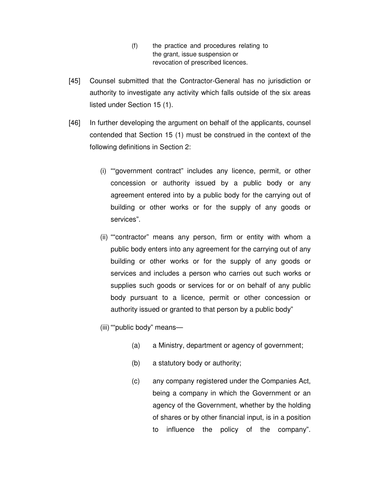- (f) the practice and procedures relating to the grant, issue suspension or revocation of prescribed licences.
- [45] Counsel submitted that the Contractor-General has no jurisdiction or authority to investigate any activity which falls outside of the six areas listed under Section 15 (1).
- [46] In further developing the argument on behalf of the applicants, counsel contended that Section 15 (1) must be construed in the context of the following definitions in Section 2:
	- (i) ""government contract" includes any licence, permit, or other concession or authority issued by a public body or any agreement entered into by a public body for the carrying out of building or other works or for the supply of any goods or services".
	- (ii) ""contractor" means any person, firm or entity with whom a public body enters into any agreement for the carrying out of any building or other works or for the supply of any goods or services and includes a person who carries out such works or supplies such goods or services for or on behalf of any public body pursuant to a licence, permit or other concession or authority issued or granted to that person by a public body"
	- (iii) ""public body" means—
		- (a) a Ministry, department or agency of government;
		- (b) a statutory body or authority;
		- (c) any company registered under the Companies Act, being a company in which the Government or an agency of the Government, whether by the holding of shares or by other financial input, is in a position to influence the policy of the company".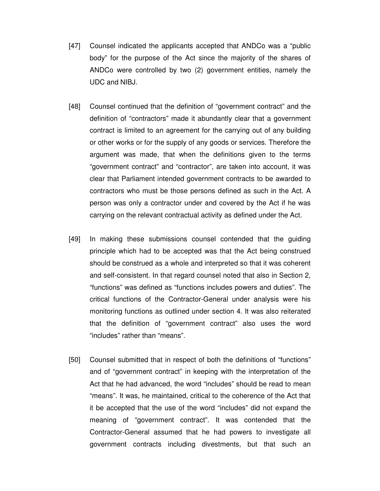- [47] Counsel indicated the applicants accepted that ANDCo was a "public body" for the purpose of the Act since the majority of the shares of ANDCo were controlled by two (2) government entities, namely the UDC and NIBJ.
- [48] Counsel continued that the definition of "government contract" and the definition of "contractors" made it abundantly clear that a government contract is limited to an agreement for the carrying out of any building or other works or for the supply of any goods or services. Therefore the argument was made, that when the definitions given to the terms "government contract" and "contractor", are taken into account, it was clear that Parliament intended government contracts to be awarded to contractors who must be those persons defined as such in the Act. A person was only a contractor under and covered by the Act if he was carrying on the relevant contractual activity as defined under the Act.
- [49] In making these submissions counsel contended that the guiding principle which had to be accepted was that the Act being construed should be construed as a whole and interpreted so that it was coherent and self-consistent. In that regard counsel noted that also in Section 2, "functions" was defined as "functions includes powers and duties". The critical functions of the Contractor-General under analysis were his monitoring functions as outlined under section 4. It was also reiterated that the definition of "government contract" also uses the word "includes" rather than "means".
- [50] Counsel submitted that in respect of both the definitions of "functions" and of "government contract" in keeping with the interpretation of the Act that he had advanced, the word "includes" should be read to mean "means". It was, he maintained, critical to the coherence of the Act that it be accepted that the use of the word "includes" did not expand the meaning of "government contract". It was contended that the Contractor-General assumed that he had powers to investigate all government contracts including divestments, but that such an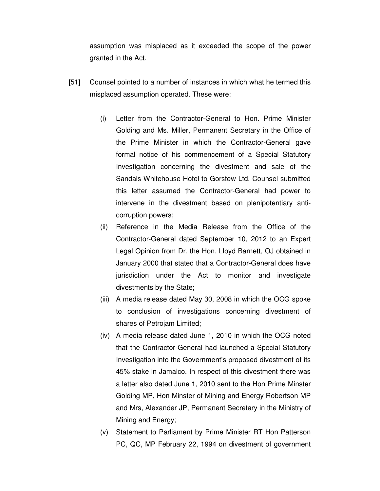assumption was misplaced as it exceeded the scope of the power granted in the Act.

- [51] Counsel pointed to a number of instances in which what he termed this misplaced assumption operated. These were:
	- (i) Letter from the Contractor-General to Hon. Prime Minister Golding and Ms. Miller, Permanent Secretary in the Office of the Prime Minister in which the Contractor-General gave formal notice of his commencement of a Special Statutory Investigation concerning the divestment and sale of the Sandals Whitehouse Hotel to Gorstew Ltd. Counsel submitted this letter assumed the Contractor-General had power to intervene in the divestment based on plenipotentiary anticorruption powers;
	- (ii) Reference in the Media Release from the Office of the Contractor-General dated September 10, 2012 to an Expert Legal Opinion from Dr. the Hon. Lloyd Barnett, OJ obtained in January 2000 that stated that a Contractor-General does have jurisdiction under the Act to monitor and investigate divestments by the State;
	- (iii) A media release dated May 30, 2008 in which the OCG spoke to conclusion of investigations concerning divestment of shares of Petrojam Limited;
	- (iv) A media release dated June 1, 2010 in which the OCG noted that the Contractor-General had launched a Special Statutory Investigation into the Government's proposed divestment of its 45% stake in Jamalco. In respect of this divestment there was a letter also dated June 1, 2010 sent to the Hon Prime Minster Golding MP, Hon Minster of Mining and Energy Robertson MP and Mrs, Alexander JP, Permanent Secretary in the Ministry of Mining and Energy;
	- (v) Statement to Parliament by Prime Minister RT Hon Patterson PC, QC, MP February 22, 1994 on divestment of government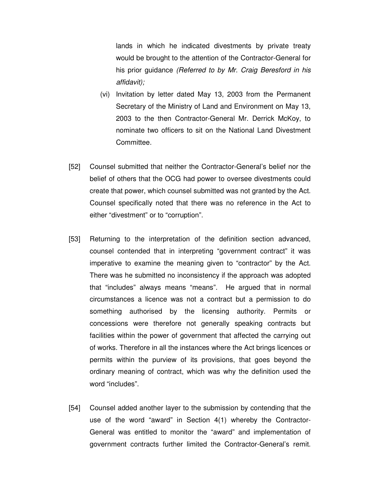lands in which he indicated divestments by private treaty would be brought to the attention of the Contractor-General for his prior guidance (Referred to by Mr. Craig Beresford in his affidavit);

- (vi) Invitation by letter dated May 13, 2003 from the Permanent Secretary of the Ministry of Land and Environment on May 13, 2003 to the then Contractor-General Mr. Derrick McKoy, to nominate two officers to sit on the National Land Divestment Committee.
- [52] Counsel submitted that neither the Contractor-General's belief nor the belief of others that the OCG had power to oversee divestments could create that power, which counsel submitted was not granted by the Act. Counsel specifically noted that there was no reference in the Act to either "divestment" or to "corruption".
- [53] Returning to the interpretation of the definition section advanced, counsel contended that in interpreting "government contract" it was imperative to examine the meaning given to "contractor" by the Act. There was he submitted no inconsistency if the approach was adopted that "includes" always means "means". He argued that in normal circumstances a licence was not a contract but a permission to do something authorised by the licensing authority. Permits or concessions were therefore not generally speaking contracts but facilities within the power of government that affected the carrying out of works. Therefore in all the instances where the Act brings licences or permits within the purview of its provisions, that goes beyond the ordinary meaning of contract, which was why the definition used the word "includes".
- [54] Counsel added another layer to the submission by contending that the use of the word "award" in Section 4(1) whereby the Contractor-General was entitled to monitor the "award" and implementation of government contracts further limited the Contractor-General's remit.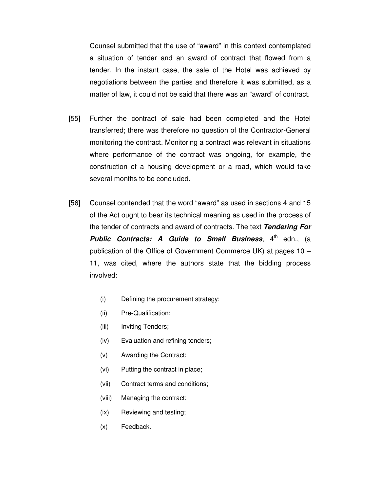Counsel submitted that the use of "award" in this context contemplated a situation of tender and an award of contract that flowed from a tender. In the instant case, the sale of the Hotel was achieved by negotiations between the parties and therefore it was submitted, as a matter of law, it could not be said that there was an "award" of contract.

- [55] Further the contract of sale had been completed and the Hotel transferred; there was therefore no question of the Contractor-General monitoring the contract. Monitoring a contract was relevant in situations where performance of the contract was ongoing, for example, the construction of a housing development or a road, which would take several months to be concluded.
- [56] Counsel contended that the word "award" as used in sections 4 and 15 of the Act ought to bear its technical meaning as used in the process of the tender of contracts and award of contracts. The text **Tendering For Public Contracts: A Guide to Small Business**, 4<sup>th</sup> edn., (a publication of the Office of Government Commerce UK) at pages 10 – 11, was cited, where the authors state that the bidding process involved:
	- (i) Defining the procurement strategy;
	- (ii) Pre-Qualification;
	- (iii) Inviting Tenders;
	- (iv) Evaluation and refining tenders;
	- (v) Awarding the Contract;
	- (vi) Putting the contract in place;
	- (vii) Contract terms and conditions;
	- (viii) Managing the contract;
	- (ix) Reviewing and testing;
	- (x) Feedback.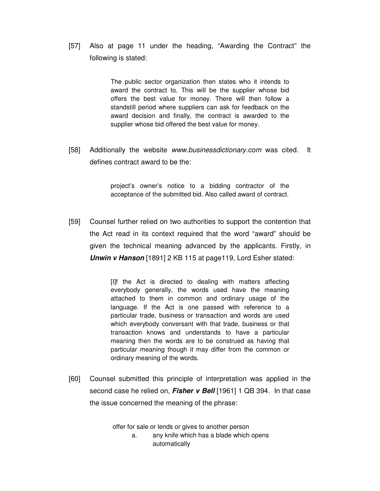[57] Also at page 11 under the heading, "Awarding the Contract" the following is stated:

> The public sector organization then states who it intends to award the contract to. This will be the supplier whose bid offers the best value for money. There will then follow a standstill period where suppliers can ask for feedback on the award decision and finally, the contract is awarded to the supplier whose bid offered the best value for money.

[58] Additionally the website www.businessdictionary.com was cited. It defines contract award to be the:

> project's owner's notice to a bidding contractor of the acceptance of the submitted bid. Also called award of contract.

[59] Counsel further relied on two authorities to support the contention that the Act read in its context required that the word "award" should be given the technical meaning advanced by the applicants. Firstly, in **Unwin v Hanson** [1891] 2 KB 115 at page119, Lord Esher stated:

> [I]f the Act is directed to dealing with matters affecting everybody generally, the words used have the meaning attached to them in common and ordinary usage of the language. If the Act is one passed with reference to a particular trade, business or transaction and words are used which everybody conversant with that trade, business or that transaction knows and understands to have a particular meaning then the words are to be construed as having that particular meaning though it may differ from the common or ordinary meaning of the words.

[60] Counsel submitted this principle of interpretation was applied in the second case he relied on, **Fisher v Bell** [1961] 1 QB 394. In that case the issue concerned the meaning of the phrase:

offer for sale or lends or gives to another person

a. any knife which has a blade which opens automatically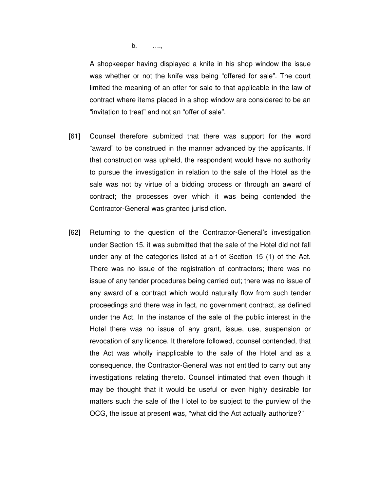b. ….,

A shopkeeper having displayed a knife in his shop window the issue was whether or not the knife was being "offered for sale". The court limited the meaning of an offer for sale to that applicable in the law of contract where items placed in a shop window are considered to be an "invitation to treat" and not an "offer of sale".

- [61] Counsel therefore submitted that there was support for the word "award" to be construed in the manner advanced by the applicants. If that construction was upheld, the respondent would have no authority to pursue the investigation in relation to the sale of the Hotel as the sale was not by virtue of a bidding process or through an award of contract; the processes over which it was being contended the Contractor-General was granted jurisdiction.
- [62] Returning to the question of the Contractor-General's investigation under Section 15, it was submitted that the sale of the Hotel did not fall under any of the categories listed at a-f of Section 15 (1) of the Act. There was no issue of the registration of contractors; there was no issue of any tender procedures being carried out; there was no issue of any award of a contract which would naturally flow from such tender proceedings and there was in fact, no government contract, as defined under the Act. In the instance of the sale of the public interest in the Hotel there was no issue of any grant, issue, use, suspension or revocation of any licence. It therefore followed, counsel contended, that the Act was wholly inapplicable to the sale of the Hotel and as a consequence, the Contractor-General was not entitled to carry out any investigations relating thereto. Counsel intimated that even though it may be thought that it would be useful or even highly desirable for matters such the sale of the Hotel to be subject to the purview of the OCG, the issue at present was, "what did the Act actually authorize?"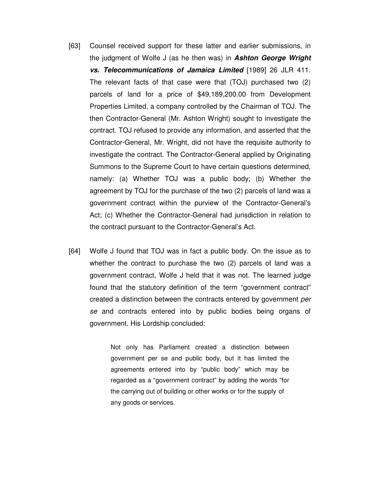- [63] Counsel received support for these latter and earlier submissions, in the judgment of Wolfe J (as he then was) in **Ashton George Wright vs. Telecommunications of Jamaica Limited** [1989] 26 JLR 411. The relevant facts of that case were that (TOJ) purchased two (2) parcels of land for a price of \$49,189,200.00 from Development Properties Limited, a company controlled by the Chairman of TOJ. The then Contractor-General (Mr. Ashton Wright) sought to investigate the contract. TOJ refused to provide any information, and asserted that the Contractor-General, Mr. Wright, did not have the requisite authority to investigate the contract. The Contractor-General applied by Originating Summons to the Supreme Court to have certain questions determined, namely: (a) Whether TOJ was a public body; (b) Whether the agreement by TOJ for the purchase of the two (2) parcels of land was a government contract within the purview of the Contractor-General's Act; (c) Whether the Contractor-General had jurisdiction in relation to the contract pursuant to the Contractor-General's Act.
- [64] Wolfe J found that TOJ was in fact a public body. On the issue as to whether the contract to purchase the two (2) parcels of land was a government contract, Wolfe J held that it was not. The learned judge found that the statutory definition of the term "government contract" created a distinction between the contracts entered by government per se and contracts entered into by public bodies being organs of government. His Lordship concluded:

Not only has Parliament created a distinction between government per se and public body, but it has limited the agreements entered into by "public body" which may be regarded as a "government contract" by adding the words "for the carrying out of building or other works or for the supply of any goods or services.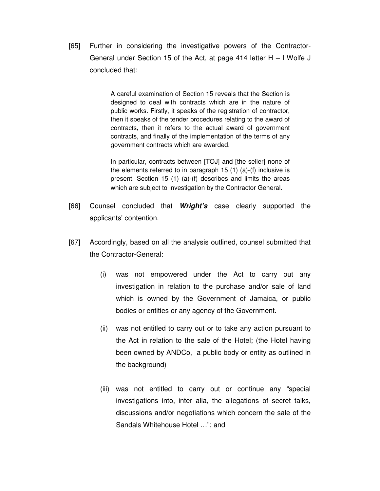[65] Further in considering the investigative powers of the Contractor-General under Section 15 of the Act, at page 414 letter H – I Wolfe J concluded that:

> A careful examination of Section 15 reveals that the Section is designed to deal with contracts which are in the nature of public works. Firstly, it speaks of the registration of contractor, then it speaks of the tender procedures relating to the award of contracts, then it refers to the actual award of government contracts, and finally of the implementation of the terms of any government contracts which are awarded.

> In particular, contracts between [TOJ] and [the seller] none of the elements referred to in paragraph 15 (1) (a)-(f) inclusive is present. Section 15 (1) (a)-(f) describes and limits the areas which are subject to investigation by the Contractor General.

- [66] Counsel concluded that **Wright's** case clearly supported the applicants' contention.
- [67] Accordingly, based on all the analysis outlined, counsel submitted that the Contractor-General:
	- (i) was not empowered under the Act to carry out any investigation in relation to the purchase and/or sale of land which is owned by the Government of Jamaica, or public bodies or entities or any agency of the Government.
	- (ii) was not entitled to carry out or to take any action pursuant to the Act in relation to the sale of the Hotel; (the Hotel having been owned by ANDCo, a public body or entity as outlined in the background)
	- (iii) was not entitled to carry out or continue any "special investigations into, inter alia, the allegations of secret talks, discussions and/or negotiations which concern the sale of the Sandals Whitehouse Hotel …"; and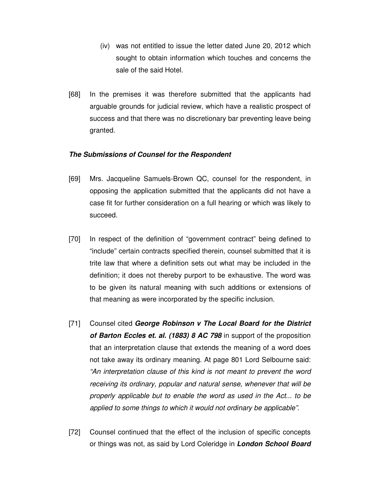- (iv) was not entitled to issue the letter dated June 20, 2012 which sought to obtain information which touches and concerns the sale of the said Hotel.
- [68] In the premises it was therefore submitted that the applicants had arguable grounds for judicial review, which have a realistic prospect of success and that there was no discretionary bar preventing leave being granted.

## **The Submissions of Counsel for the Respondent**

- [69] Mrs. Jacqueline Samuels-Brown QC, counsel for the respondent, in opposing the application submitted that the applicants did not have a case fit for further consideration on a full hearing or which was likely to succeed.
- [70] In respect of the definition of "government contract" being defined to "include" certain contracts specified therein, counsel submitted that it is trite law that where a definition sets out what may be included in the definition; it does not thereby purport to be exhaustive. The word was to be given its natural meaning with such additions or extensions of that meaning as were incorporated by the specific inclusion.
- [71] Counsel cited **George Robinson v The Local Board for the District of Barton Eccles et. al. (1883) 8 AC 798** in support of the proposition that an interpretation clause that extends the meaning of a word does not take away its ordinary meaning. At page 801 Lord Selbourne said: "An interpretation clause of this kind is not meant to prevent the word receiving its ordinary, popular and natural sense, whenever that will be properly applicable but to enable the word as used in the Act... to be applied to some things to which it would not ordinary be applicable".
- [72] Counsel continued that the effect of the inclusion of specific concepts or things was not, as said by Lord Coleridge in **London School Board**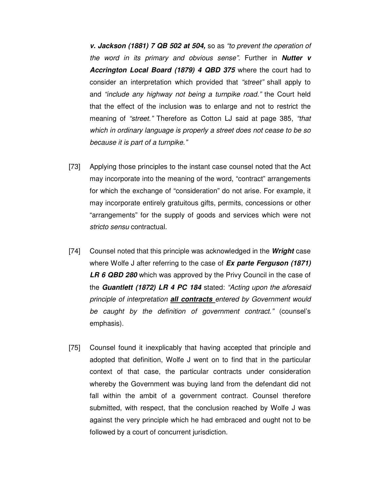**v. Jackson (1881) 7 QB 502 at 504,** so as "to prevent the operation of the word in its primary and obvious sense". Further in **Nutter v Accrington Local Board (1879) 4 QBD 375** where the court had to consider an interpretation which provided that "street" shall apply to and "include any highway not being a turnpike road." the Court held that the effect of the inclusion was to enlarge and not to restrict the meaning of "street." Therefore as Cotton LJ said at page 385, "that which in ordinary language is properly a street does not cease to be so because it is part of a turnpike."

- [73] Applying those principles to the instant case counsel noted that the Act may incorporate into the meaning of the word, "contract" arrangements for which the exchange of "consideration" do not arise. For example, it may incorporate entirely gratuitous gifts, permits, concessions or other "arrangements" for the supply of goods and services which were not stricto sensu contractual.
- [74] Counsel noted that this principle was acknowledged in the **Wright** case where Wolfe J after referring to the case of **Ex parte Ferguson (1871) LR 6 QBD 280** which was approved by the Privy Council in the case of the **Guantlett (1872) LR 4 PC 184** stated: "Acting upon the aforesaid principle of interpretation **all contracts** entered by Government would be caught by the definition of government contract." (counsel's emphasis).
- [75] Counsel found it inexplicably that having accepted that principle and adopted that definition, Wolfe J went on to find that in the particular context of that case, the particular contracts under consideration whereby the Government was buying land from the defendant did not fall within the ambit of a government contract. Counsel therefore submitted, with respect, that the conclusion reached by Wolfe J was against the very principle which he had embraced and ought not to be followed by a court of concurrent jurisdiction.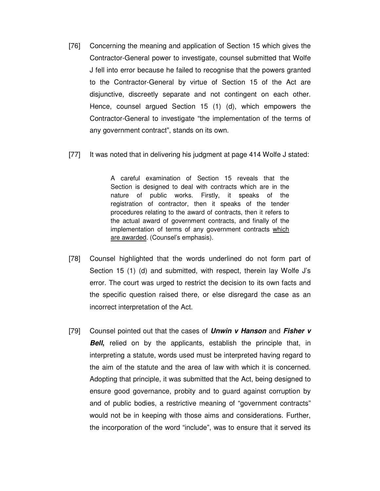- [76] Concerning the meaning and application of Section 15 which gives the Contractor-General power to investigate, counsel submitted that Wolfe J fell into error because he failed to recognise that the powers granted to the Contractor-General by virtue of Section 15 of the Act are disjunctive, discreetly separate and not contingent on each other. Hence, counsel argued Section 15 (1) (d), which empowers the Contractor-General to investigate "the implementation of the terms of any government contract", stands on its own.
- [77] It was noted that in delivering his judgment at page 414 Wolfe J stated:

A careful examination of Section 15 reveals that the Section is designed to deal with contracts which are in the nature of public works. Firstly, it speaks of the registration of contractor, then it speaks of the tender procedures relating to the award of contracts, then it refers to the actual award of government contracts, and finally of the implementation of terms of any government contracts which are awarded. (Counsel's emphasis).

- [78] Counsel highlighted that the words underlined do not form part of Section 15 (1) (d) and submitted, with respect, therein lay Wolfe J's error. The court was urged to restrict the decision to its own facts and the specific question raised there, or else disregard the case as an incorrect interpretation of the Act.
- [79] Counsel pointed out that the cases of **Unwin v Hanson** and **Fisher v Bell**, relied on by the applicants, establish the principle that, in interpreting a statute, words used must be interpreted having regard to the aim of the statute and the area of law with which it is concerned. Adopting that principle, it was submitted that the Act, being designed to ensure good governance, probity and to guard against corruption by and of public bodies, a restrictive meaning of "government contracts" would not be in keeping with those aims and considerations. Further, the incorporation of the word "include", was to ensure that it served its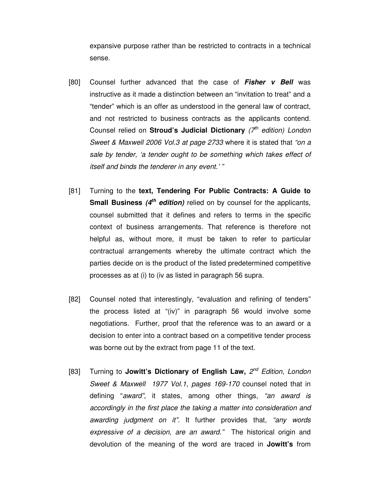expansive purpose rather than be restricted to contracts in a technical sense.

- [80] Counsel further advanced that the case of **Fisher v Bell** was instructive as it made a distinction between an "invitation to treat" and a "tender" which is an offer as understood in the general law of contract, and not restricted to business contracts as the applicants contend. Counsel relied on **Stroud's Judicial Dictionary** (7<sup>th</sup> edition) London Sweet & Maxwell 2006 Vol.3 at page 2733 where it is stated that "on a sale by tender, 'a tender ought to be something which takes effect of itself and binds the tenderer in any event.' "
- [81] Turning to the **text, Tendering For Public Contracts: A Guide to Small Business (4th edition)** relied on by counsel for the applicants, counsel submitted that it defines and refers to terms in the specific context of business arrangements. That reference is therefore not helpful as, without more, it must be taken to refer to particular contractual arrangements whereby the ultimate contract which the parties decide on is the product of the listed predetermined competitive processes as at (i) to (iv as listed in paragraph 56 supra.
- [82] Counsel noted that interestingly, "evaluation and refining of tenders" the process listed at "(iv)" in paragraph 56 would involve some negotiations. Further, proof that the reference was to an award or a decision to enter into a contract based on a competitive tender process was borne out by the extract from page 11 of the text.
- [83] Turning to Jowitt's Dictionary of English Law, 2<sup>nd</sup> Edition, London Sweet & Maxwell 1977 Vol.1, pages 169-170 counsel noted that in defining "award", it states, among other things, "an award is accordingly in the first place the taking a matter into consideration and awarding judgment on it". It further provides that, "any words expressive of a decision, are an award." The historical origin and devolution of the meaning of the word are traced in **Jowitt's** from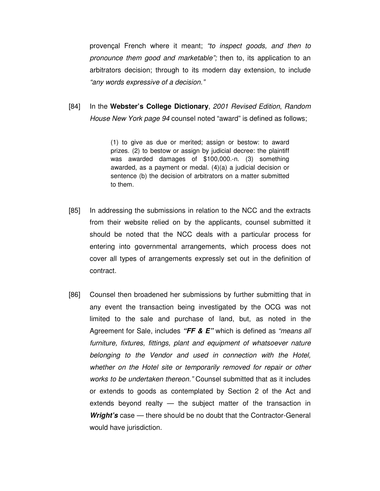provençal French where it meant; "to inspect goods, and then to pronounce them good and marketable"; then to, its application to an arbitrators decision; through to its modern day extension, to include "any words expressive of a decision."

[84] In the **Webster's College Dictionary**, 2001 Revised Edition, Random House New York page 94 counsel noted "award" is defined as follows;

> (1) to give as due or merited; assign or bestow: to award prizes. (2) to bestow or assign by judicial decree: the plaintiff was awarded damages of \$100,000.-n. (3) something awarded, as a payment or medal. (4)(a) a judicial decision or sentence (b) the decision of arbitrators on a matter submitted to them.

- [85] In addressing the submissions in relation to the NCC and the extracts from their website relied on by the applicants, counsel submitted it should be noted that the NCC deals with a particular process for entering into governmental arrangements, which process does not cover all types of arrangements expressly set out in the definition of contract.
- [86] Counsel then broadened her submissions by further submitting that in any event the transaction being investigated by the OCG was not limited to the sale and purchase of land, but, as noted in the Agreement for Sale, includes **"FF & E"** which is defined as "means all furniture, fixtures, fittings, plant and equipment of whatsoever nature belonging to the Vendor and used in connection with the Hotel, whether on the Hotel site or temporarily removed for repair or other works to be undertaken thereon." Counsel submitted that as it includes or extends to goods as contemplated by Section 2 of the Act and extends beyond realty — the subject matter of the transaction in **Wright's** case — there should be no doubt that the Contractor-General would have jurisdiction.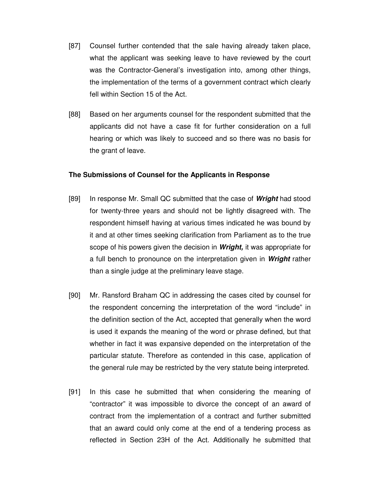- [87] Counsel further contended that the sale having already taken place, what the applicant was seeking leave to have reviewed by the court was the Contractor-General's investigation into, among other things, the implementation of the terms of a government contract which clearly fell within Section 15 of the Act.
- [88] Based on her arguments counsel for the respondent submitted that the applicants did not have a case fit for further consideration on a full hearing or which was likely to succeed and so there was no basis for the grant of leave.

#### **The Submissions of Counsel for the Applicants in Response**

- [89] In response Mr. Small QC submitted that the case of **Wright** had stood for twenty-three years and should not be lightly disagreed with. The respondent himself having at various times indicated he was bound by it and at other times seeking clarification from Parliament as to the true scope of his powers given the decision in **Wright,** it was appropriate for a full bench to pronounce on the interpretation given in **Wright** rather than a single judge at the preliminary leave stage.
- [90] Mr. Ransford Braham QC in addressing the cases cited by counsel for the respondent concerning the interpretation of the word "include" in the definition section of the Act, accepted that generally when the word is used it expands the meaning of the word or phrase defined, but that whether in fact it was expansive depended on the interpretation of the particular statute. Therefore as contended in this case, application of the general rule may be restricted by the very statute being interpreted.
- [91] In this case he submitted that when considering the meaning of "contractor" it was impossible to divorce the concept of an award of contract from the implementation of a contract and further submitted that an award could only come at the end of a tendering process as reflected in Section 23H of the Act. Additionally he submitted that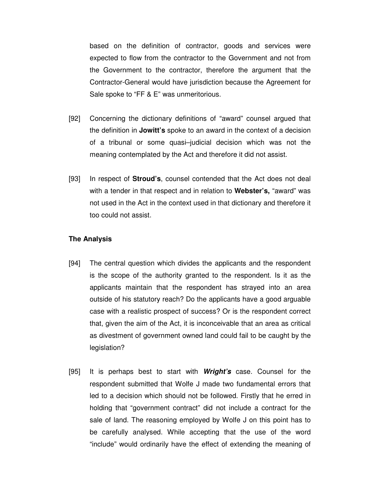based on the definition of contractor, goods and services were expected to flow from the contractor to the Government and not from the Government to the contractor, therefore the argument that the Contractor-General would have jurisdiction because the Agreement for Sale spoke to "FF & E" was unmeritorious.

- [92] Concerning the dictionary definitions of "award" counsel argued that the definition in **Jowitt's** spoke to an award in the context of a decision of a tribunal or some quasi–judicial decision which was not the meaning contemplated by the Act and therefore it did not assist.
- [93] In respect of **Stroud's**, counsel contended that the Act does not deal with a tender in that respect and in relation to **Webster's,** "award" was not used in the Act in the context used in that dictionary and therefore it too could not assist.

## **The Analysis**

- [94] The central question which divides the applicants and the respondent is the scope of the authority granted to the respondent. Is it as the applicants maintain that the respondent has strayed into an area outside of his statutory reach? Do the applicants have a good arguable case with a realistic prospect of success? Or is the respondent correct that, given the aim of the Act, it is inconceivable that an area as critical as divestment of government owned land could fail to be caught by the legislation?
- [95] It is perhaps best to start with **Wright's** case. Counsel for the respondent submitted that Wolfe J made two fundamental errors that led to a decision which should not be followed. Firstly that he erred in holding that "government contract" did not include a contract for the sale of land. The reasoning employed by Wolfe J on this point has to be carefully analysed. While accepting that the use of the word "include" would ordinarily have the effect of extending the meaning of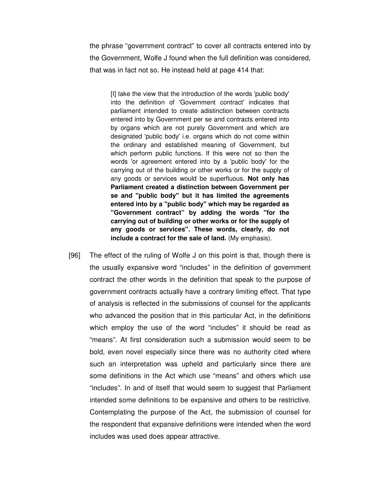the phrase "government contract" to cover all contracts entered into by the Government, Wolfe J found when the full definition was considered, that was in fact not so. He instead held at page 414 that:

[I] take the view that the introduction of the words 'public body' into the definition of 'Government contract' indicates that parliament intended to create adistinction between contracts entered into by Government per se and contracts entered into by organs which are not purely Government and which are designated 'public body' i.e. organs which do not come within the ordinary and established meaning of Government, but which perform public functions. If this were not so then the words 'or agreement entered into by a 'public body' for the carrying out of the building or other works or for the supply of any goods or services would be superfluous. **Not only has Parliament created a distinction between Government per se and "public body" but it has limited the agreements entered into by a "public body" which may be regarded as "Government contract" by adding the words "for the carrying out of building or other works or for the supply of any goods or services". These words, clearly, do not include a contract for the sale of land.** (My emphasis).

[96] The effect of the ruling of Wolfe J on this point is that, though there is the usually expansive word "includes" in the definition of government contract the other words in the definition that speak to the purpose of government contracts actually have a contrary limiting effect. That type of analysis is reflected in the submissions of counsel for the applicants who advanced the position that in this particular Act, in the definitions which employ the use of the word "includes" it should be read as "means". At first consideration such a submission would seem to be bold, even novel especially since there was no authority cited where such an interpretation was upheld and particularly since there are some definitions in the Act which use "means" and others which use "includes". In and of itself that would seem to suggest that Parliament intended some definitions to be expansive and others to be restrictive. Contemplating the purpose of the Act, the submission of counsel for the respondent that expansive definitions were intended when the word includes was used does appear attractive.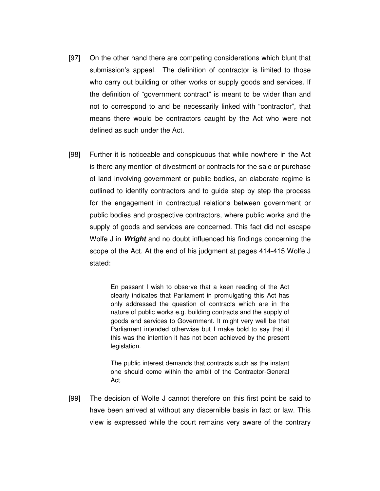- [97] On the other hand there are competing considerations which blunt that submission's appeal. The definition of contractor is limited to those who carry out building or other works or supply goods and services. If the definition of "government contract" is meant to be wider than and not to correspond to and be necessarily linked with "contractor", that means there would be contractors caught by the Act who were not defined as such under the Act.
- [98] Further it is noticeable and conspicuous that while nowhere in the Act is there any mention of divestment or contracts for the sale or purchase of land involving government or public bodies, an elaborate regime is outlined to identify contractors and to guide step by step the process for the engagement in contractual relations between government or public bodies and prospective contractors, where public works and the supply of goods and services are concerned. This fact did not escape Wolfe J in **Wright** and no doubt influenced his findings concerning the scope of the Act. At the end of his judgment at pages 414-415 Wolfe J stated:

En passant I wish to observe that a keen reading of the Act clearly indicates that Parliament in promulgating this Act has only addressed the question of contracts which are in the nature of public works e.g. building contracts and the supply of goods and services to Government. It might very well be that Parliament intended otherwise but I make bold to say that if this was the intention it has not been achieved by the present legislation.

The public interest demands that contracts such as the instant one should come within the ambit of the Contractor-General Act.

[99] The decision of Wolfe J cannot therefore on this first point be said to have been arrived at without any discernible basis in fact or law. This view is expressed while the court remains very aware of the contrary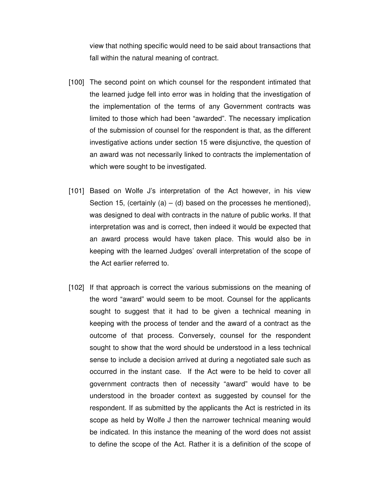view that nothing specific would need to be said about transactions that fall within the natural meaning of contract.

- [100] The second point on which counsel for the respondent intimated that the learned judge fell into error was in holding that the investigation of the implementation of the terms of any Government contracts was limited to those which had been "awarded". The necessary implication of the submission of counsel for the respondent is that, as the different investigative actions under section 15 were disjunctive, the question of an award was not necessarily linked to contracts the implementation of which were sought to be investigated.
- [101] Based on Wolfe J's interpretation of the Act however, in his view Section 15, (certainly (a) – (d) based on the processes he mentioned), was designed to deal with contracts in the nature of public works. If that interpretation was and is correct, then indeed it would be expected that an award process would have taken place. This would also be in keeping with the learned Judges' overall interpretation of the scope of the Act earlier referred to.
- [102] If that approach is correct the various submissions on the meaning of the word "award" would seem to be moot. Counsel for the applicants sought to suggest that it had to be given a technical meaning in keeping with the process of tender and the award of a contract as the outcome of that process. Conversely, counsel for the respondent sought to show that the word should be understood in a less technical sense to include a decision arrived at during a negotiated sale such as occurred in the instant case. If the Act were to be held to cover all government contracts then of necessity "award" would have to be understood in the broader context as suggested by counsel for the respondent. If as submitted by the applicants the Act is restricted in its scope as held by Wolfe J then the narrower technical meaning would be indicated. In this instance the meaning of the word does not assist to define the scope of the Act. Rather it is a definition of the scope of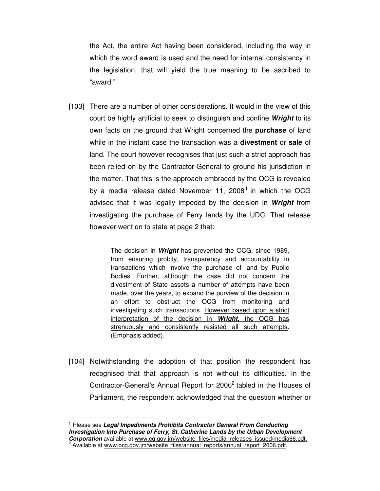the Act, the entire Act having been considered, including the way in which the word award is used and the need for internal consistency in the legislation, that will yield the true meaning to be ascribed to "award."

[103] There are a number of other considerations. It would in the view of this court be highly artificial to seek to distinguish and confine **Wright** to its own facts on the ground that Wright concerned the **purchase** of land while in the instant case the transaction was a **divestment** or **sale** of land. The court however recognises that just such a strict approach has been relied on by the Contractor-General to ground his jurisdiction in the matter. That this is the approach embraced by the OCG is revealed by a media release dated November 11, 2008<sup>1</sup> in which the OCG advised that it was legally impeded by the decision in **Wright** from investigating the purchase of Ferry lands by the UDC. That release however went on to state at page 2 that:

> The decision in **Wright** has prevented the OCG, since 1989, from ensuring probity, transparency and accountability in transactions which involve the purchase of land by Public Bodies. Further, although the case did not concern the divestment of State assets a number of attempts have been made, over the years, to expand the purview of the decision in an effort to obstruct the OCG from monitoring and investigating such transactions. However based upon a strict interpretation of the decision in **Wright**, the OCG has strenuously and consistently resisted all such attempts. (Emphasis added).

[104] Notwithstanding the adoption of that position the respondent has recognised that that approach is not without its difficulties. In the Contractor-General's Annual Report for 2006<sup>2</sup> tabled in the Houses of Parliament, the respondent acknowledged that the question whether or

 $\overline{a}$ 

<sup>1</sup> Please see **Legal Impediments Prohibits Contractor General From Conducting Investigation Into Purchase of Ferry, St. Catherine Lands by the Urban Development Corporation** available at www.cg.gov.jm/website\_files/media\_releases\_issued/media66.pdf. <sup>2</sup> Available at www.ocg.gov.jm/website\_files/annual\_reports/annual\_report\_2006.pdf.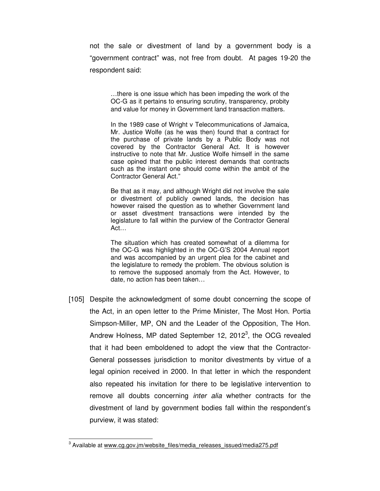not the sale or divestment of land by a government body is a "government contract" was, not free from doubt. At pages 19-20 the respondent said:

…there is one issue which has been impeding the work of the OC-G as it pertains to ensuring scrutiny, transparency, probity and value for money in Government land transaction matters.

In the 1989 case of Wright v Telecommunications of Jamaica, Mr. Justice Wolfe (as he was then) found that a contract for the purchase of private lands by a Public Body was not covered by the Contractor General Act. It is however instructive to note that Mr. Justice Wolfe himself in the same case opined that the public interest demands that contracts such as the instant one should come within the ambit of the Contractor General Act."

Be that as it may, and although Wright did not involve the sale or divestment of publicly owned lands, the decision has however raised the question as to whether Government land or asset divestment transactions were intended by the legislature to fall within the purview of the Contractor General Act…

The situation which has created somewhat of a dilemma for the OC-G was highlighted in the OC-G'S 2004 Annual report and was accompanied by an urgent plea for the cabinet and the legislature to remedy the problem. The obvious solution is to remove the supposed anomaly from the Act. However, to date, no action has been taken…

[105] Despite the acknowledgment of some doubt concerning the scope of the Act, in an open letter to the Prime Minister, The Most Hon. Portia Simpson-Miller, MP, ON and the Leader of the Opposition, The Hon. Andrew Holness, MP dated September 12, 2012 $^3$ , the OCG revealed that it had been emboldened to adopt the view that the Contractor-General possesses jurisdiction to monitor divestments by virtue of a legal opinion received in 2000. In that letter in which the respondent also repeated his invitation for there to be legislative intervention to remove all doubts concerning *inter alia* whether contracts for the divestment of land by government bodies fall within the respondent's purview, it was stated:

 $\overline{a}$ 

<sup>&</sup>lt;sup>3</sup> Available at www.cg.gov.jm/website\_files/media\_releases\_issued/media275.pdf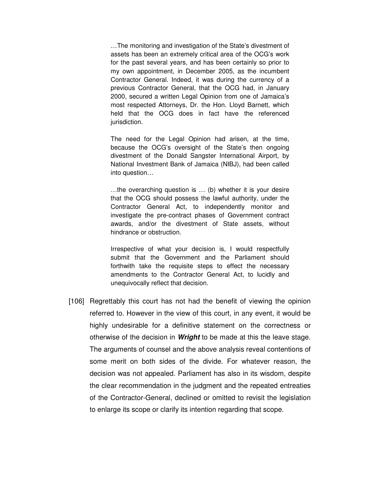…The monitoring and investigation of the State's divestment of assets has been an extremely critical area of the OCG's work for the past several years, and has been certainly so prior to my own appointment, in December 2005, as the incumbent Contractor General. Indeed, it was during the currency of a previous Contractor General, that the OCG had, in January 2000, secured a written Legal Opinion from one of Jamaica's most respected Attorneys, Dr. the Hon. Lloyd Barnett, which held that the OCG does in fact have the referenced jurisdiction.

The need for the Legal Opinion had arisen, at the time, because the OCG's oversight of the State's then ongoing divestment of the Donald Sangster International Airport, by National Investment Bank of Jamaica (NIBJ), had been called into question…

…the overarching question is … (b) whether it is your desire that the OCG should possess the lawful authority, under the Contractor General Act, to independently monitor and investigate the pre-contract phases of Government contract awards, and/or the divestment of State assets, without hindrance or obstruction.

Irrespective of what your decision is, I would respectfully submit that the Government and the Parliament should forthwith take the requisite steps to effect the necessary amendments to the Contractor General Act, to lucidly and unequivocally reflect that decision.

[106] Regrettably this court has not had the benefit of viewing the opinion referred to. However in the view of this court, in any event, it would be highly undesirable for a definitive statement on the correctness or otherwise of the decision in **Wright** to be made at this the leave stage. The arguments of counsel and the above analysis reveal contentions of some merit on both sides of the divide. For whatever reason, the decision was not appealed. Parliament has also in its wisdom, despite the clear recommendation in the judgment and the repeated entreaties of the Contractor-General, declined or omitted to revisit the legislation to enlarge its scope or clarify its intention regarding that scope.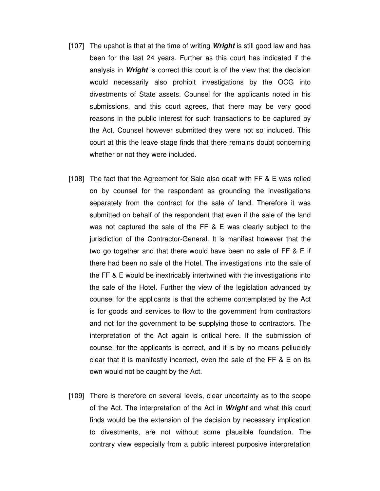- [107] The upshot is that at the time of writing **Wright** is still good law and has been for the last 24 years. Further as this court has indicated if the analysis in **Wright** is correct this court is of the view that the decision would necessarily also prohibit investigations by the OCG into divestments of State assets. Counsel for the applicants noted in his submissions, and this court agrees, that there may be very good reasons in the public interest for such transactions to be captured by the Act. Counsel however submitted they were not so included. This court at this the leave stage finds that there remains doubt concerning whether or not they were included.
- [108] The fact that the Agreement for Sale also dealt with FF & E was relied on by counsel for the respondent as grounding the investigations separately from the contract for the sale of land. Therefore it was submitted on behalf of the respondent that even if the sale of the land was not captured the sale of the FF & E was clearly subject to the jurisdiction of the Contractor-General. It is manifest however that the two go together and that there would have been no sale of FF & E if there had been no sale of the Hotel. The investigations into the sale of the FF & E would be inextricably intertwined with the investigations into the sale of the Hotel. Further the view of the legislation advanced by counsel for the applicants is that the scheme contemplated by the Act is for goods and services to flow to the government from contractors and not for the government to be supplying those to contractors. The interpretation of the Act again is critical here. If the submission of counsel for the applicants is correct, and it is by no means pellucidly clear that it is manifestly incorrect, even the sale of the FF & E on its own would not be caught by the Act.
- [109] There is therefore on several levels, clear uncertainty as to the scope of the Act. The interpretation of the Act in **Wright** and what this court finds would be the extension of the decision by necessary implication to divestments, are not without some plausible foundation. The contrary view especially from a public interest purposive interpretation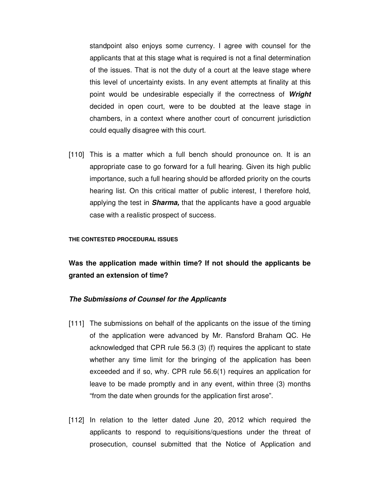standpoint also enjoys some currency. I agree with counsel for the applicants that at this stage what is required is not a final determination of the issues. That is not the duty of a court at the leave stage where this level of uncertainty exists. In any event attempts at finality at this point would be undesirable especially if the correctness of **Wright** decided in open court, were to be doubted at the leave stage in chambers, in a context where another court of concurrent jurisdiction could equally disagree with this court.

[110] This is a matter which a full bench should pronounce on. It is an appropriate case to go forward for a full hearing. Given its high public importance, such a full hearing should be afforded priority on the courts hearing list. On this critical matter of public interest, I therefore hold, applying the test in **Sharma,** that the applicants have a good arguable case with a realistic prospect of success.

#### **THE CONTESTED PROCEDURAL ISSUES**

# **Was the application made within time? If not should the applicants be granted an extension of time?**

#### **The Submissions of Counsel for the Applicants**

- [111] The submissions on behalf of the applicants on the issue of the timing of the application were advanced by Mr. Ransford Braham QC. He acknowledged that CPR rule 56.3 (3) (f) requires the applicant to state whether any time limit for the bringing of the application has been exceeded and if so, why. CPR rule 56.6(1) requires an application for leave to be made promptly and in any event, within three (3) months "from the date when grounds for the application first arose".
- [112] In relation to the letter dated June 20, 2012 which required the applicants to respond to requisitions/questions under the threat of prosecution, counsel submitted that the Notice of Application and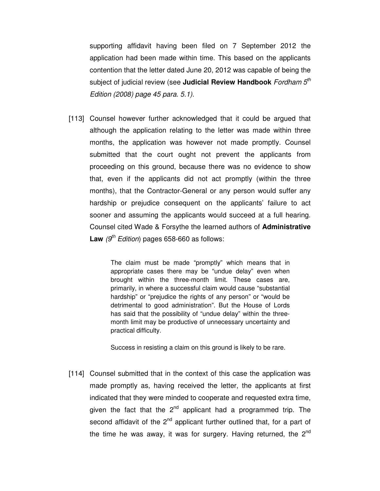supporting affidavit having been filed on 7 September 2012 the application had been made within time. This based on the applicants contention that the letter dated June 20, 2012 was capable of being the subject of judicial review (see **Judicial Review Handbook** Fordham 5<sup>th</sup> Edition (2008) page 45 para. 5.1).

[113] Counsel however further acknowledged that it could be argued that although the application relating to the letter was made within three months, the application was however not made promptly. Counsel submitted that the court ought not prevent the applicants from proceeding on this ground, because there was no evidence to show that, even if the applicants did not act promptly (within the three months), that the Contractor-General or any person would suffer any hardship or prejudice consequent on the applicants' failure to act sooner and assuming the applicants would succeed at a full hearing. Counsel cited Wade & Forsythe the learned authors of **Administrative Law**  $(9<sup>th</sup> Edition)$  pages 658-660 as follows:

> The claim must be made "promptly" which means that in appropriate cases there may be "undue delay" even when brought within the three-month limit. These cases are, primarily, in where a successful claim would cause "substantial hardship" or "prejudice the rights of any person" or "would be detrimental to good administration". But the House of Lords has said that the possibility of "undue delay" within the threemonth limit may be productive of unnecessary uncertainty and practical difficulty.

Success in resisting a claim on this ground is likely to be rare.

[114] Counsel submitted that in the context of this case the application was made promptly as, having received the letter, the applicants at first indicated that they were minded to cooperate and requested extra time, given the fact that the  $2^{nd}$  applicant had a programmed trip. The second affidavit of the  $2<sup>nd</sup>$  applicant further outlined that, for a part of the time he was away, it was for surgery. Having returned, the  $2^{nd}$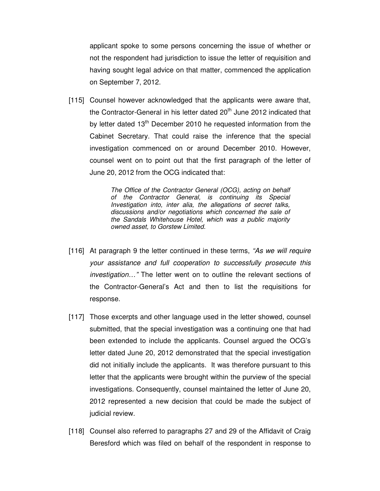applicant spoke to some persons concerning the issue of whether or not the respondent had jurisdiction to issue the letter of requisition and having sought legal advice on that matter, commenced the application on September 7, 2012.

[115] Counsel however acknowledged that the applicants were aware that, the Contractor-General in his letter dated 20<sup>th</sup> June 2012 indicated that by letter dated  $13<sup>th</sup>$  December 2010 he requested information from the Cabinet Secretary. That could raise the inference that the special investigation commenced on or around December 2010. However, counsel went on to point out that the first paragraph of the letter of June 20, 2012 from the OCG indicated that:

> The Office of the Contractor General (OCG), acting on behalf of the Contractor General, is continuing its Special Investigation into, inter alia, the allegations of secret talks, discussions and/or negotiations which concerned the sale of the Sandals Whitehouse Hotel, which was a public majority owned asset, to Gorstew Limited.

- [116] At paragraph 9 the letter continued in these terms, "As we will require your assistance and full cooperation to successfully prosecute this investigation…" The letter went on to outline the relevant sections of the Contractor-General's Act and then to list the requisitions for response.
- [117] Those excerpts and other language used in the letter showed, counsel submitted, that the special investigation was a continuing one that had been extended to include the applicants. Counsel argued the OCG's letter dated June 20, 2012 demonstrated that the special investigation did not initially include the applicants. It was therefore pursuant to this letter that the applicants were brought within the purview of the special investigations. Consequently, counsel maintained the letter of June 20, 2012 represented a new decision that could be made the subject of judicial review.
- [118] Counsel also referred to paragraphs 27 and 29 of the Affidavit of Craig Beresford which was filed on behalf of the respondent in response to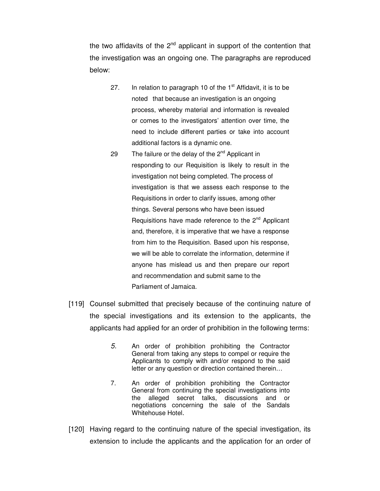the two affidavits of the  $2^{nd}$  applicant in support of the contention that the investigation was an ongoing one. The paragraphs are reproduced below:

- 27. In relation to paragraph 10 of the  $1<sup>st</sup>$  Affidavit, it is to be noted that because an investigation is an ongoing process, whereby material and information is revealed or comes to the investigators' attention over time, the need to include different parties or take into account additional factors is a dynamic one.
- 29 The failure or the delay of the  $2<sup>nd</sup>$  Applicant in responding to our Requisition is likely to result in the investigation not being completed. The process of investigation is that we assess each response to the Requisitions in order to clarify issues, among other things. Several persons who have been issued Requisitions have made reference to the  $2^{nd}$  Applicant and, therefore, it is imperative that we have a response from him to the Requisition. Based upon his response, we will be able to correlate the information, determine if anyone has mislead us and then prepare our report and recommendation and submit same to the Parliament of Jamaica.
- [119] Counsel submitted that precisely because of the continuing nature of the special investigations and its extension to the applicants, the applicants had applied for an order of prohibition in the following terms:
	- 5. An order of prohibition prohibiting the Contractor General from taking any steps to compel or require the Applicants to comply with and/or respond to the said letter or any question or direction contained therein…
	- 7. An order of prohibition prohibiting the Contractor General from continuing the special investigations into the alleged secret talks, discussions and or negotiations concerning the sale of the Sandals Whitehouse Hotel.
- [120] Having regard to the continuing nature of the special investigation, its extension to include the applicants and the application for an order of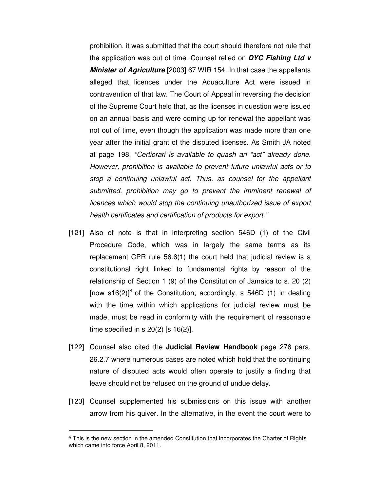prohibition, it was submitted that the court should therefore not rule that the application was out of time. Counsel relied on **DYC Fishing Ltd v Minister of Agriculture** [2003] 67 WIR 154. In that case the appellants alleged that licences under the Aquaculture Act were issued in contravention of that law. The Court of Appeal in reversing the decision of the Supreme Court held that, as the licenses in question were issued on an annual basis and were coming up for renewal the appellant was not out of time, even though the application was made more than one year after the initial grant of the disputed licenses. As Smith JA noted at page 198, "Certiorari is available to quash an "act" already done. However, prohibition is available to prevent future unlawful acts or to stop a continuing unlawful act. Thus, as counsel for the appellant submitted, prohibition may go to prevent the imminent renewal of licences which would stop the continuing unauthorized issue of export health certificates and certification of products for export."

- [121] Also of note is that in interpreting section 546D (1) of the Civil Procedure Code, which was in largely the same terms as its replacement CPR rule 56.6(1) the court held that judicial review is a constitutional right linked to fundamental rights by reason of the relationship of Section 1 (9) of the Constitution of Jamaica to s. 20 (2) [now s16(2)]<sup>4</sup> of the Constitution; accordingly, s 546D (1) in dealing with the time within which applications for judicial review must be made, must be read in conformity with the requirement of reasonable time specified in s  $20(2)$  [s  $16(2)$ ].
- [122] Counsel also cited the **Judicial Review Handbook** page 276 para. 26.2.7 where numerous cases are noted which hold that the continuing nature of disputed acts would often operate to justify a finding that leave should not be refused on the ground of undue delay.
- [123] Counsel supplemented his submissions on this issue with another arrow from his quiver. In the alternative, in the event the court were to

 $\overline{a}$ 

<sup>&</sup>lt;sup>4</sup> This is the new section in the amended Constitution that incorporates the Charter of Rights which came into force April 8, 2011.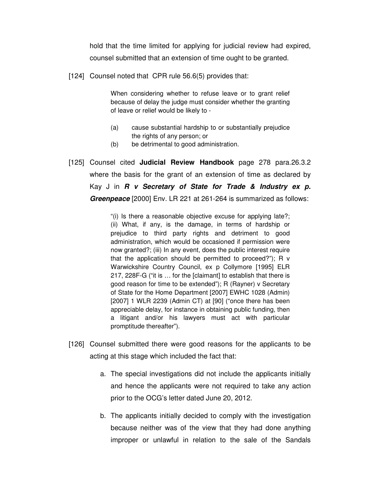hold that the time limited for applying for judicial review had expired, counsel submitted that an extension of time ought to be granted.

[124] Counsel noted that CPR rule 56.6(5) provides that:

When considering whether to refuse leave or to grant relief because of delay the judge must consider whether the granting of leave or relief would be likely to -

- (a) cause substantial hardship to or substantially prejudice the rights of any person; or
- (b) be detrimental to good administration.
- [125] Counsel cited **Judicial Review Handbook** page 278 para.26.3.2 where the basis for the grant of an extension of time as declared by Kay J in **R v Secretary of State for Trade & Industry ex p. Greenpeace** [2000] Env. LR 221 at 261-264 is summarized as follows:

"(i) Is there a reasonable objective excuse for applying late?; (ii) What, if any, is the damage, in terms of hardship or prejudice to third party rights and detriment to good administration, which would be occasioned if permission were now granted?; (iii) In any event, does the public interest require that the application should be permitted to proceed?"); R v Warwickshire Country Council, ex p Collymore [1995] ELR 217, 228F-G ("it is … for the [claimant] to establish that there is good reason for time to be extended"); R (Rayner) v Secretary of State for the Home Department [2007] EWHC 1028 (Admin) [2007] 1 WLR 2239 (Admin CT) at [90] ("once there has been appreciable delay, for instance in obtaining public funding, then a litigant and/or his lawyers must act with particular promptitude thereafter").

- [126] Counsel submitted there were good reasons for the applicants to be acting at this stage which included the fact that:
	- a. The special investigations did not include the applicants initially and hence the applicants were not required to take any action prior to the OCG's letter dated June 20, 2012.
	- b. The applicants initially decided to comply with the investigation because neither was of the view that they had done anything improper or unlawful in relation to the sale of the Sandals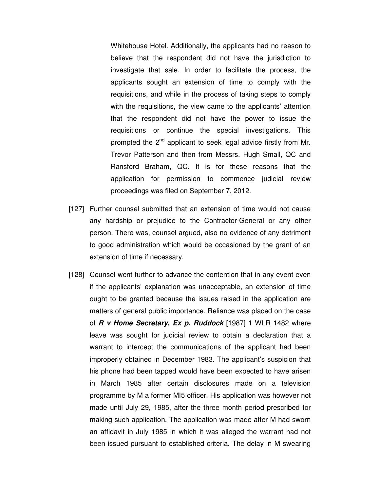Whitehouse Hotel. Additionally, the applicants had no reason to believe that the respondent did not have the jurisdiction to investigate that sale. In order to facilitate the process, the applicants sought an extension of time to comply with the requisitions, and while in the process of taking steps to comply with the requisitions, the view came to the applicants' attention that the respondent did not have the power to issue the requisitions or continue the special investigations. This prompted the 2<sup>nd</sup> applicant to seek legal advice firstly from Mr. Trevor Patterson and then from Messrs. Hugh Small, QC and Ransford Braham, QC. It is for these reasons that the application for permission to commence judicial review proceedings was filed on September 7, 2012.

- [127] Further counsel submitted that an extension of time would not cause any hardship or prejudice to the Contractor-General or any other person. There was, counsel argued, also no evidence of any detriment to good administration which would be occasioned by the grant of an extension of time if necessary.
- [128] Counsel went further to advance the contention that in any event even if the applicants' explanation was unacceptable, an extension of time ought to be granted because the issues raised in the application are matters of general public importance. Reliance was placed on the case of **R v Home Secretary, Ex p. Ruddock** [1987] 1 WLR 1482 where leave was sought for judicial review to obtain a declaration that a warrant to intercept the communications of the applicant had been improperly obtained in December 1983. The applicant's suspicion that his phone had been tapped would have been expected to have arisen in March 1985 after certain disclosures made on a television programme by M a former MI5 officer. His application was however not made until July 29, 1985, after the three month period prescribed for making such application. The application was made after M had sworn an affidavit in July 1985 in which it was alleged the warrant had not been issued pursuant to established criteria. The delay in M swearing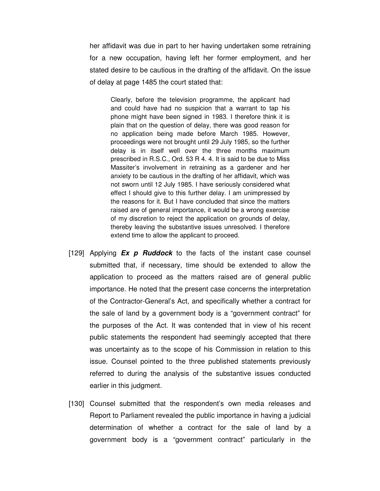her affidavit was due in part to her having undertaken some retraining for a new occupation, having left her former employment, and her stated desire to be cautious in the drafting of the affidavit. On the issue of delay at page 1485 the court stated that:

Clearly, before the television programme, the applicant had and could have had no suspicion that a warrant to tap his phone might have been signed in 1983. I therefore think it is plain that on the question of delay, there was good reason for no application being made before March 1985. However, proceedings were not brought until 29 July 1985, so the further delay is in itself well over the three months maximum prescribed in R.S.C., Ord. 53 R 4. 4. It is said to be due to Miss Massiter's involvement in retraining as a gardener and her anxiety to be cautious in the drafting of her affidavit, which was not sworn until 12 July 1985. I have seriously considered what effect I should give to this further delay. I am unimpressed by the reasons for it. But I have concluded that since the matters raised are of general importance, it would be a wrong exercise of my discretion to reject the application on grounds of delay, thereby leaving the substantive issues unresolved. I therefore extend time to allow the applicant to proceed.

- [129] Applying **Ex p Ruddock** to the facts of the instant case counsel submitted that, if necessary, time should be extended to allow the application to proceed as the matters raised are of general public importance. He noted that the present case concerns the interpretation of the Contractor-General's Act, and specifically whether a contract for the sale of land by a government body is a "government contract" for the purposes of the Act. It was contended that in view of his recent public statements the respondent had seemingly accepted that there was uncertainty as to the scope of his Commission in relation to this issue. Counsel pointed to the three published statements previously referred to during the analysis of the substantive issues conducted earlier in this judgment.
- [130] Counsel submitted that the respondent's own media releases and Report to Parliament revealed the public importance in having a judicial determination of whether a contract for the sale of land by a government body is a "government contract" particularly in the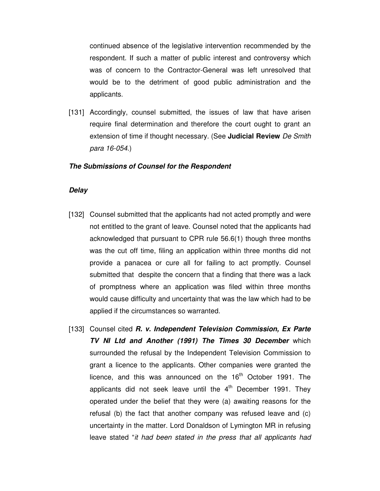continued absence of the legislative intervention recommended by the respondent. If such a matter of public interest and controversy which was of concern to the Contractor-General was left unresolved that would be to the detriment of good public administration and the applicants.

[131] Accordingly, counsel submitted, the issues of law that have arisen require final determination and therefore the court ought to grant an extension of time if thought necessary. (See **Judicial Review** De Smith para 16-054.)

## **The Submissions of Counsel for the Respondent**

## **Delay**

- [132] Counsel submitted that the applicants had not acted promptly and were not entitled to the grant of leave. Counsel noted that the applicants had acknowledged that pursuant to CPR rule 56.6(1) though three months was the cut off time, filing an application within three months did not provide a panacea or cure all for failing to act promptly. Counsel submitted that despite the concern that a finding that there was a lack of promptness where an application was filed within three months would cause difficulty and uncertainty that was the law which had to be applied if the circumstances so warranted.
- [133] Counsel cited **R. v. Independent Television Commission, Ex Parte TV NI Ltd and Another (1991) The Times 30 December** which surrounded the refusal by the Independent Television Commission to grant a licence to the applicants. Other companies were granted the licence, and this was announced on the  $16<sup>th</sup>$  October 1991. The applicants did not seek leave until the  $4<sup>th</sup>$  December 1991. They operated under the belief that they were (a) awaiting reasons for the refusal (b) the fact that another company was refused leave and (c) uncertainty in the matter. Lord Donaldson of Lymington MR in refusing leave stated "it had been stated in the press that all applicants had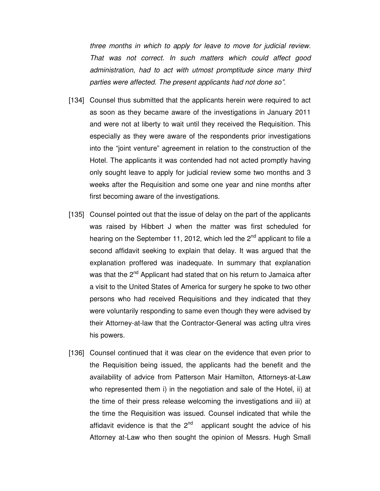three months in which to apply for leave to move for judicial review. That was not correct. In such matters which could affect good administration, had to act with utmost promptitude since many third parties were affected. The present applicants had not done so".

- [134] Counsel thus submitted that the applicants herein were required to act as soon as they became aware of the investigations in January 2011 and were not at liberty to wait until they received the Requisition. This especially as they were aware of the respondents prior investigations into the "joint venture" agreement in relation to the construction of the Hotel. The applicants it was contended had not acted promptly having only sought leave to apply for judicial review some two months and 3 weeks after the Requisition and some one year and nine months after first becoming aware of the investigations.
- [135] Counsel pointed out that the issue of delay on the part of the applicants was raised by Hibbert J when the matter was first scheduled for hearing on the September 11, 2012, which led the  $2^{nd}$  applicant to file a second affidavit seeking to explain that delay. It was argued that the explanation proffered was inadequate. In summary that explanation was that the 2<sup>nd</sup> Applicant had stated that on his return to Jamaica after a visit to the United States of America for surgery he spoke to two other persons who had received Requisitions and they indicated that they were voluntarily responding to same even though they were advised by their Attorney-at-law that the Contractor-General was acting ultra vires his powers.
- [136] Counsel continued that it was clear on the evidence that even prior to the Requisition being issued, the applicants had the benefit and the availability of advice from Patterson Mair Hamilton, Attorneys-at-Law who represented them i) in the negotiation and sale of the Hotel, ii) at the time of their press release welcoming the investigations and iii) at the time the Requisition was issued. Counsel indicated that while the affidavit evidence is that the  $2^{nd}$  applicant sought the advice of his Attorney at-Law who then sought the opinion of Messrs. Hugh Small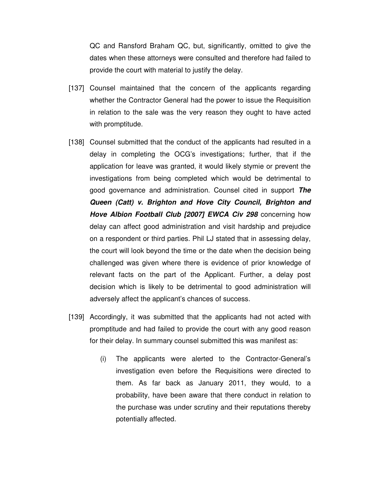QC and Ransford Braham QC, but, significantly, omitted to give the dates when these attorneys were consulted and therefore had failed to provide the court with material to justify the delay.

- [137] Counsel maintained that the concern of the applicants regarding whether the Contractor General had the power to issue the Requisition in relation to the sale was the very reason they ought to have acted with promptitude.
- [138] Counsel submitted that the conduct of the applicants had resulted in a delay in completing the OCG's investigations; further, that if the application for leave was granted, it would likely stymie or prevent the investigations from being completed which would be detrimental to good governance and administration. Counsel cited in support **The Queen (Catt) v. Brighton and Hove City Council, Brighton and Hove Albion Football Club [2007] EWCA Civ 298** concerning how delay can affect good administration and visit hardship and prejudice on a respondent or third parties. Phil LJ stated that in assessing delay, the court will look beyond the time or the date when the decision being challenged was given where there is evidence of prior knowledge of relevant facts on the part of the Applicant. Further, a delay post decision which is likely to be detrimental to good administration will adversely affect the applicant's chances of success.
- [139] Accordingly, it was submitted that the applicants had not acted with promptitude and had failed to provide the court with any good reason for their delay. In summary counsel submitted this was manifest as:
	- (i) The applicants were alerted to the Contractor-General's investigation even before the Requisitions were directed to them. As far back as January 2011, they would, to a probability, have been aware that there conduct in relation to the purchase was under scrutiny and their reputations thereby potentially affected.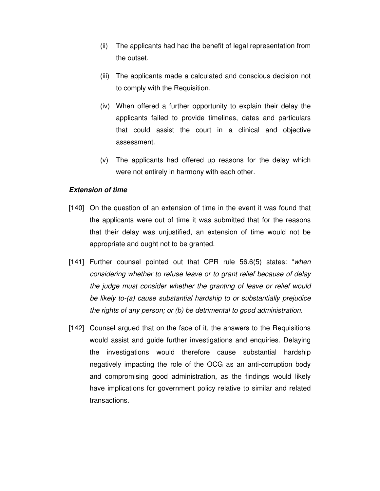- (ii) The applicants had had the benefit of legal representation from the outset.
- (iii) The applicants made a calculated and conscious decision not to comply with the Requisition.
- (iv) When offered a further opportunity to explain their delay the applicants failed to provide timelines, dates and particulars that could assist the court in a clinical and objective assessment.
- (v) The applicants had offered up reasons for the delay which were not entirely in harmony with each other.

## **Extension of time**

- [140] On the question of an extension of time in the event it was found that the applicants were out of time it was submitted that for the reasons that their delay was unjustified, an extension of time would not be appropriate and ought not to be granted.
- [141] Further counsel pointed out that CPR rule 56.6(5) states: "when considering whether to refuse leave or to grant relief because of delay the judge must consider whether the granting of leave or relief would be likely to-(a) cause substantial hardship to or substantially prejudice the rights of any person; or (b) be detrimental to good administration.
- [142] Counsel argued that on the face of it, the answers to the Requisitions would assist and guide further investigations and enquiries. Delaying the investigations would therefore cause substantial hardship negatively impacting the role of the OCG as an anti-corruption body and compromising good administration, as the findings would likely have implications for government policy relative to similar and related transactions.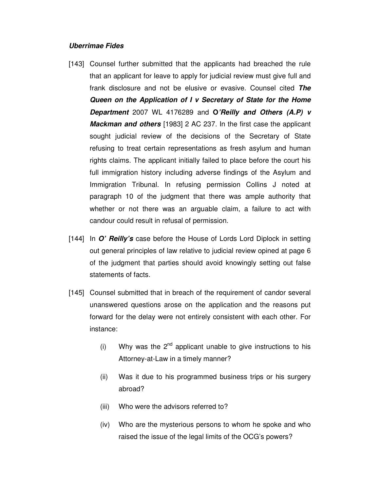## **Uberrimae Fides**

- [143] Counsel further submitted that the applicants had breached the rule that an applicant for leave to apply for judicial review must give full and frank disclosure and not be elusive or evasive. Counsel cited **The Queen on the Application of I v Secretary of State for the Home Department** 2007 WL 4176289 and **O'Reilly and Others (A.P) v Mackman and others** [1983] 2 AC 237. In the first case the applicant sought judicial review of the decisions of the Secretary of State refusing to treat certain representations as fresh asylum and human rights claims. The applicant initially failed to place before the court his full immigration history including adverse findings of the Asylum and Immigration Tribunal. In refusing permission Collins J noted at paragraph 10 of the judgment that there was ample authority that whether or not there was an arguable claim, a failure to act with candour could result in refusal of permission.
- [144] In **O' Reilly's** case before the House of Lords Lord Diplock in setting out general principles of law relative to judicial review opined at page 6 of the judgment that parties should avoid knowingly setting out false statements of facts.
- [145] Counsel submitted that in breach of the requirement of candor several unanswered questions arose on the application and the reasons put forward for the delay were not entirely consistent with each other. For instance:
	- (i) Why was the  $2^{nd}$  applicant unable to give instructions to his Attorney-at-Law in a timely manner?
	- (ii) Was it due to his programmed business trips or his surgery abroad?
	- (iii) Who were the advisors referred to?
	- (iv) Who are the mysterious persons to whom he spoke and who raised the issue of the legal limits of the OCG's powers?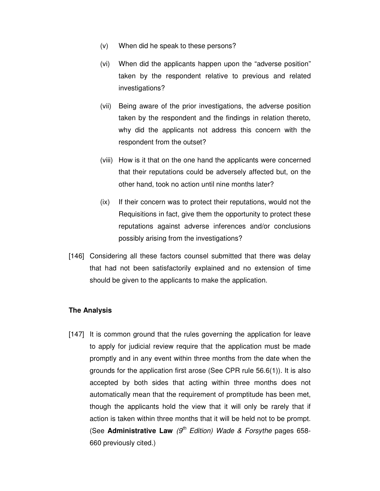- (v) When did he speak to these persons?
- (vi) When did the applicants happen upon the "adverse position" taken by the respondent relative to previous and related investigations?
- (vii) Being aware of the prior investigations, the adverse position taken by the respondent and the findings in relation thereto, why did the applicants not address this concern with the respondent from the outset?
- (viii) How is it that on the one hand the applicants were concerned that their reputations could be adversely affected but, on the other hand, took no action until nine months later?
- (ix) If their concern was to protect their reputations, would not the Requisitions in fact, give them the opportunity to protect these reputations against adverse inferences and/or conclusions possibly arising from the investigations?
- [146] Considering all these factors counsel submitted that there was delay that had not been satisfactorily explained and no extension of time should be given to the applicants to make the application.

# **The Analysis**

[147] It is common ground that the rules governing the application for leave to apply for judicial review require that the application must be made promptly and in any event within three months from the date when the grounds for the application first arose (See CPR rule 56.6(1)). It is also accepted by both sides that acting within three months does not automatically mean that the requirement of promptitude has been met, though the applicants hold the view that it will only be rarely that if action is taken within three months that it will be held not to be prompt. (See **Administrative Law**  $(9<sup>th</sup> Edition)$  Wade & Forsythe pages 658-660 previously cited.)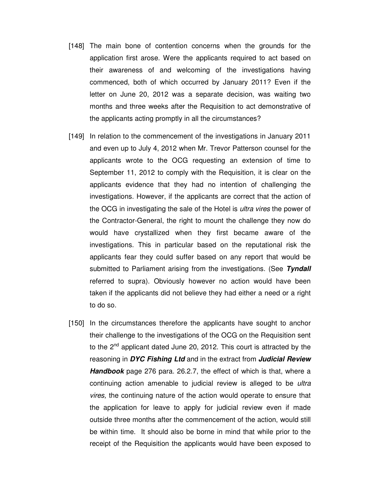- [148] The main bone of contention concerns when the grounds for the application first arose. Were the applicants required to act based on their awareness of and welcoming of the investigations having commenced, both of which occurred by January 2011? Even if the letter on June 20, 2012 was a separate decision, was waiting two months and three weeks after the Requisition to act demonstrative of the applicants acting promptly in all the circumstances?
- [149] In relation to the commencement of the investigations in January 2011 and even up to July 4, 2012 when Mr. Trevor Patterson counsel for the applicants wrote to the OCG requesting an extension of time to September 11, 2012 to comply with the Requisition, it is clear on the applicants evidence that they had no intention of challenging the investigations. However, if the applicants are correct that the action of the OCG in investigating the sale of the Hotel is ultra vires the power of the Contractor-General, the right to mount the challenge they now do would have crystallized when they first became aware of the investigations. This in particular based on the reputational risk the applicants fear they could suffer based on any report that would be submitted to Parliament arising from the investigations. (See **Tyndall** referred to supra). Obviously however no action would have been taken if the applicants did not believe they had either a need or a right to do so.
- [150] In the circumstances therefore the applicants have sought to anchor their challenge to the investigations of the OCG on the Requisition sent to the 2<sup>nd</sup> applicant dated June 20, 2012. This court is attracted by the reasoning in **DYC Fishing Ltd** and in the extract from **Judicial Review Handbook** page 276 para. 26.2.7, the effect of which is that, where a continuing action amenable to judicial review is alleged to be *ultra* vires, the continuing nature of the action would operate to ensure that the application for leave to apply for judicial review even if made outside three months after the commencement of the action, would still be within time. It should also be borne in mind that while prior to the receipt of the Requisition the applicants would have been exposed to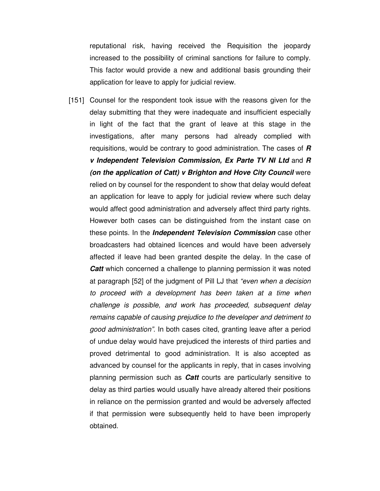reputational risk, having received the Requisition the jeopardy increased to the possibility of criminal sanctions for failure to comply. This factor would provide a new and additional basis grounding their application for leave to apply for judicial review.

[151] Counsel for the respondent took issue with the reasons given for the delay submitting that they were inadequate and insufficient especially in light of the fact that the grant of leave at this stage in the investigations, after many persons had already complied with requisitions, would be contrary to good administration. The cases of **R v Independent Television Commission, Ex Parte TV NI Ltd** and **R (on the application of Catt) v Brighton and Hove City Council** were relied on by counsel for the respondent to show that delay would defeat an application for leave to apply for judicial review where such delay would affect good administration and adversely affect third party rights. However both cases can be distinguished from the instant case on these points. In the **Independent Television Commission** case other broadcasters had obtained licences and would have been adversely affected if leave had been granted despite the delay. In the case of **Catt** which concerned a challenge to planning permission it was noted at paragraph [52] of the judgment of Pill LJ that "even when a decision to proceed with a development has been taken at a time when challenge is possible, and work has proceeded, subsequent delay remains capable of causing prejudice to the developer and detriment to good administration". In both cases cited, granting leave after a period of undue delay would have prejudiced the interests of third parties and proved detrimental to good administration. It is also accepted as advanced by counsel for the applicants in reply, that in cases involving planning permission such as **Catt** courts are particularly sensitive to delay as third parties would usually have already altered their positions in reliance on the permission granted and would be adversely affected if that permission were subsequently held to have been improperly obtained.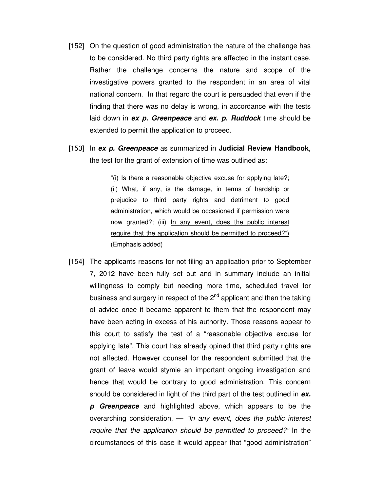- [152] On the question of good administration the nature of the challenge has to be considered. No third party rights are affected in the instant case. Rather the challenge concerns the nature and scope of the investigative powers granted to the respondent in an area of vital national concern. In that regard the court is persuaded that even if the finding that there was no delay is wrong, in accordance with the tests laid down in **ex p. Greenpeace** and **ex. p. Ruddock** time should be extended to permit the application to proceed.
- [153] In **ex p. Greenpeace** as summarized in **Judicial Review Handbook**, the test for the grant of extension of time was outlined as:

"(i) Is there a reasonable objective excuse for applying late?; (ii) What, if any, is the damage, in terms of hardship or prejudice to third party rights and detriment to good administration, which would be occasioned if permission were now granted?; (iii) In any event, does the public interest require that the application should be permitted to proceed?") (Emphasis added)

[154] The applicants reasons for not filing an application prior to September 7, 2012 have been fully set out and in summary include an initial willingness to comply but needing more time, scheduled travel for business and surgery in respect of the  $2<sup>nd</sup>$  applicant and then the taking of advice once it became apparent to them that the respondent may have been acting in excess of his authority. Those reasons appear to this court to satisfy the test of a "reasonable objective excuse for applying late". This court has already opined that third party rights are not affected. However counsel for the respondent submitted that the grant of leave would stymie an important ongoing investigation and hence that would be contrary to good administration. This concern should be considered in light of the third part of the test outlined in **ex.** 

**p Greenpeace** and highlighted above, which appears to be the overarching consideration,  $-$  "In any event, does the public interest require that the application should be permitted to proceed?" In the circumstances of this case it would appear that "good administration"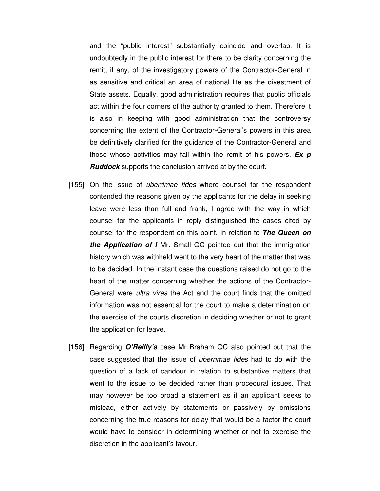and the "public interest" substantially coincide and overlap. It is undoubtedly in the public interest for there to be clarity concerning the remit, if any, of the investigatory powers of the Contractor-General in as sensitive and critical an area of national life as the divestment of State assets. Equally, good administration requires that public officials act within the four corners of the authority granted to them. Therefore it is also in keeping with good administration that the controversy concerning the extent of the Contractor-General's powers in this area be definitively clarified for the guidance of the Contractor-General and those whose activities may fall within the remit of his powers. **Ex p Ruddock** supports the conclusion arrived at by the court.

- [155] On the issue of *uberrimae fides* where counsel for the respondent contended the reasons given by the applicants for the delay in seeking leave were less than full and frank, I agree with the way in which counsel for the applicants in reply distinguished the cases cited by counsel for the respondent on this point. In relation to **The Queen on the Application of I** Mr. Small QC pointed out that the immigration history which was withheld went to the very heart of the matter that was to be decided. In the instant case the questions raised do not go to the heart of the matter concerning whether the actions of the Contractor-General were ultra vires the Act and the court finds that the omitted information was not essential for the court to make a determination on the exercise of the courts discretion in deciding whether or not to grant the application for leave.
- [156] Regarding **O'Reilly's** case Mr Braham QC also pointed out that the case suggested that the issue of uberrimae fides had to do with the question of a lack of candour in relation to substantive matters that went to the issue to be decided rather than procedural issues. That may however be too broad a statement as if an applicant seeks to mislead, either actively by statements or passively by omissions concerning the true reasons for delay that would be a factor the court would have to consider in determining whether or not to exercise the discretion in the applicant's favour.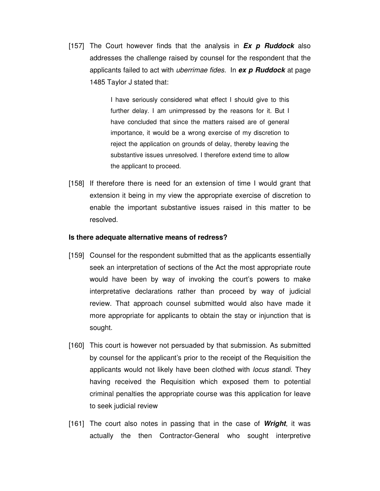[157] The Court however finds that the analysis in **Ex p Ruddock** also addresses the challenge raised by counsel for the respondent that the applicants failed to act with uberrimae fides. In **ex p Ruddock** at page 1485 Taylor J stated that:

> I have seriously considered what effect I should give to this further delay. I am unimpressed by the reasons for it. But I have concluded that since the matters raised are of general importance, it would be a wrong exercise of my discretion to reject the application on grounds of delay, thereby leaving the substantive issues unresolved. I therefore extend time to allow the applicant to proceed.

[158] If therefore there is need for an extension of time I would grant that extension it being in my view the appropriate exercise of discretion to enable the important substantive issues raised in this matter to be resolved.

#### **Is there adequate alternative means of redress?**

- [159] Counsel for the respondent submitted that as the applicants essentially seek an interpretation of sections of the Act the most appropriate route would have been by way of invoking the court's powers to make interpretative declarations rather than proceed by way of judicial review. That approach counsel submitted would also have made it more appropriate for applicants to obtain the stay or injunction that is sought.
- [160] This court is however not persuaded by that submission. As submitted by counsel for the applicant's prior to the receipt of the Requisition the applicants would not likely have been clothed with *locus standi*. They having received the Requisition which exposed them to potential criminal penalties the appropriate course was this application for leave to seek judicial review
- [161] The court also notes in passing that in the case of **Wright**, it was actually the then Contractor-General who sought interpretive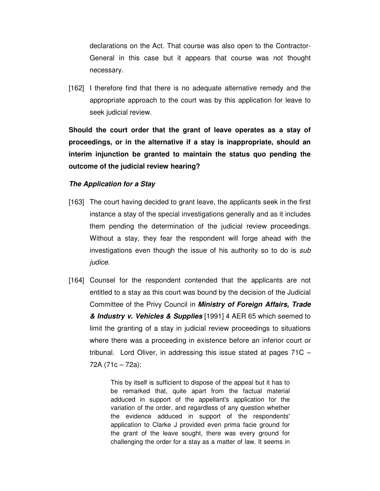declarations on the Act. That course was also open to the Contractor-General in this case but it appears that course was not thought necessary.

[162] I therefore find that there is no adequate alternative remedy and the appropriate approach to the court was by this application for leave to seek judicial review.

**Should the court order that the grant of leave operates as a stay of proceedings, or in the alternative if a stay is inappropriate, should an interim injunction be granted to maintain the status quo pending the outcome of the judicial review hearing?** 

## **The Application for a Stay**

- [163] The court having decided to grant leave, the applicants seek in the first instance a stay of the special investigations generally and as it includes them pending the determination of the judicial review proceedings. Without a stay, they fear the respondent will forge ahead with the investigations even though the issue of his authority so to do is *sub* judice.
- [164] Counsel for the respondent contended that the applicants are not entitled to a stay as this court was bound by the decision of the Judicial Committee of the Privy Council in **Ministry of Foreign Affairs, Trade & Industry v. Vehicles & Supplies** [1991] 4 AER 65 which seemed to limit the granting of a stay in judicial review proceedings to situations where there was a proceeding in existence before an inferior court or tribunal. Lord Oliver, in addressing this issue stated at pages 71C – 72A (71c – 72a):

This by itself is sufficient to dispose of the appeal but it has to be remarked that, quite apart from the factual material adduced in support of the appellant's application for the variation of the order, and regardless of any question whether the evidence adduced in support of the respondents' application to Clarke J provided even prima facie ground for the grant of the leave sought, there was every ground for challenging the order for a stay as a matter of law. It seems in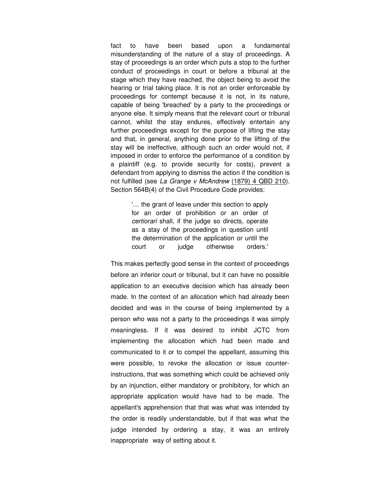fact to have been based upon a fundamental misunderstanding of the nature of a stay of proceedings. A stay of proceedings is an order which puts a stop to the further conduct of proceedings in court or before a tribunal at the stage which they have reached, the object being to avoid the hearing or trial taking place. It is not an order enforceable by proceedings for contempt because it is not, in its nature, capable of being 'breached' by a party to the proceedings or anyone else. It simply means that the relevant court or tribunal cannot, whilst the stay endures, effectively entertain any further proceedings except for the purpose of lifting the stay and that, in general, anything done prior to the lifting of the stay will be ineffective, although such an order would not, if imposed in order to enforce the performance of a condition by a plaintiff (e.g. to provide security for costs), prevent a defendant from applying to dismiss the action if the condition is not fulfilled (see La Grange v McAndrew (1879) 4 QBD 210). Section 564B(4) of the Civil Procedure Code provides:

> '… the grant of leave under this section to apply for an order of prohibition or an order of certiorari shall, if the judge so directs, operate as a stay of the proceedings in question until the determination of the application or until the court or judge otherwise orders.'

This makes perfectly good sense in the context of proceedings before an inferior court or tribunal, but it can have no possible application to an executive decision which has already been made. In the context of an allocation which had already been decided and was in the course of being implemented by a person who was not a party to the proceedings it was simply meaningless. If it was desired to inhibit JCTC from implementing the allocation which had been made and communicated to it or to compel the appellant, assuming this were possible, to revoke the allocation or issue counterinstructions, that was something which could be achieved only by an injunction, either mandatory or prohibitory, for which an appropriate application would have had to be made. The appellant's apprehension that that was what was intended by the order is readily understandable, but if that was what the judge intended by ordering a stay, it was an entirely inappropriate way of setting about it.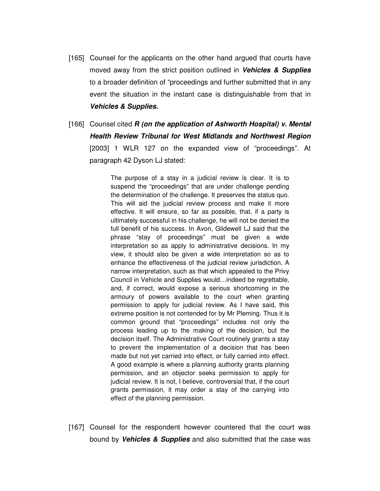- [165] Counsel for the applicants on the other hand argued that courts have moved away from the strict position outlined in **Vehicles & Supplies**  to a broader definition of "proceedings and further submitted that in any event the situation in the instant case is distinguishable from that in **Vehicles & Supplies.**
- [166] Counsel cited **R (on the application of Ashworth Hospital) v. Mental Health Review Tribunal for West Midlands and Northwest Region** [2003] 1 WLR 127 on the expanded view of "proceedings". At paragraph 42 Dyson LJ stated:

The purpose of a stay in a judicial review is clear. It is to suspend the "proceedings" that are under challenge pending the determination of the challenge. It preserves the status quo. This will aid the judicial review process and make it more effective. It will ensure, so far as possible, that, if a party is ultimately successful in his challenge, he will not be denied the full benefit of his success. In Avon, Glidewell LJ said that the phrase "stay of proceedings" must be given a wide interpretation so as apply to administrative decisions. In my view, it should also be given a wide interpretation so as to enhance the effectiveness of the judicial review jurisdiction. A narrow interpretation, such as that which appealed to the Privy Council in Vehicle and Supplies would…indeed be regrettable, and, if correct, would expose a serious shortcoming in the armoury of powers available to the court when granting permission to apply for judicial review. As I have said, this extreme position is not contended for by Mr Pleming. Thus it is common ground that "proceedings" includes not only the process leading up to the making of the decision, but the decision itself. The Administrative Court routinely grants a stay to prevent the implementation of a decision that has been made but not yet carried into effect, or fully carried into effect. A good example is where a planning authority grants planning permission, and an objector seeks permission to apply for judicial review. It is not, I believe, controversial that, if the court grants permission, it may order a stay of the carrying into effect of the planning permission.

[167] Counsel for the respondent however countered that the court was bound by **Vehicles & Supplies** and also submitted that the case was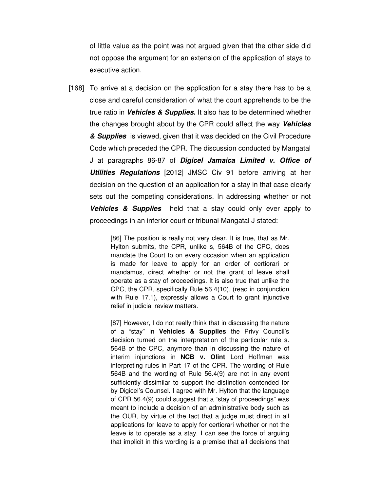of little value as the point was not argued given that the other side did not oppose the argument for an extension of the application of stays to executive action.

[168] To arrive at a decision on the application for a stay there has to be a close and careful consideration of what the court apprehends to be the true ratio in **Vehicles & Supplies.** It also has to be determined whether the changes brought about by the CPR could affect the way **Vehicles & Supplies** is viewed, given that it was decided on the Civil Procedure Code which preceded the CPR. The discussion conducted by Mangatal J at paragraphs 86-87 of **Digicel Jamaica Limited v. Office of Utilities Regulations** [2012] JMSC Civ 91 before arriving at her decision on the question of an application for a stay in that case clearly sets out the competing considerations. In addressing whether or not **Vehicles & Supplies** held that a stay could only ever apply to proceedings in an inferior court or tribunal Mangatal J stated:

> [86] The position is really not very clear. It is true, that as Mr. Hylton submits, the CPR, unlike s, 564B of the CPC, does mandate the Court to on every occasion when an application is made for leave to apply for an order of certiorari or mandamus, direct whether or not the grant of leave shall operate as a stay of proceedings. It is also true that unlike the CPC, the CPR, specifically Rule 56.4(10), (read in conjunction with Rule 17.1), expressly allows a Court to grant injunctive relief in judicial review matters.

> [87] However, I do not really think that in discussing the nature of a "stay" in **Vehicles & Supplies** the Privy Council's decision turned on the interpretation of the particular rule s. 564B of the CPC, anymore than in discussing the nature of interim injunctions in **NCB v. Olint** Lord Hoffman was interpreting rules in Part 17 of the CPR. The wording of Rule 564B and the wording of Rule 56.4(9) are not in any event sufficiently dissimilar to support the distinction contended for by Digicel's Counsel. I agree with Mr. Hylton that the language of CPR 56.4(9) could suggest that a "stay of proceedings" was meant to include a decision of an administrative body such as the OUR, by virtue of the fact that a judge must direct in all applications for leave to apply for certiorari whether or not the leave is to operate as a stay. I can see the force of arguing that implicit in this wording is a premise that all decisions that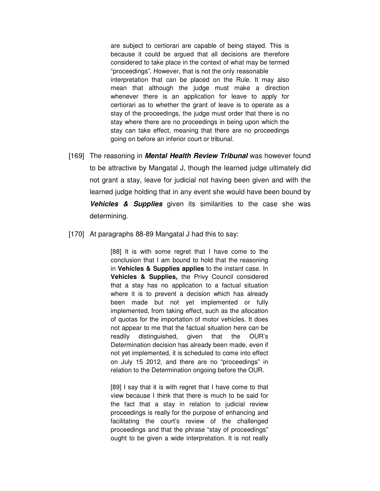are subject to certiorari are capable of being stayed. This is because it could be argued that all decisions are therefore considered to take place in the context of what may be termed "proceedings". However, that is not the only reasonable interpretation that can be placed on the Rule. It may also mean that although the judge must make a direction whenever there is an application for leave to apply for certiorari as to whether the grant of leave is to operate as a stay of the proceedings, the judge must order that there is no stay where there are no proceedings in being upon which the stay can take effect, meaning that there are no proceedings going on before an inferior court or tribunal.

- [169] The reasoning in **Mental Health Review Tribunal** was however found to be attractive by Mangatal J, though the learned judge ultimately did not grant a stay, leave for judicial not having been given and with the learned judge holding that in any event she would have been bound by **Vehicles & Supplies** given its similarities to the case she was determining.
- [170] At paragraphs 88-89 Mangatal J had this to say:

[88] It is with some regret that I have come to the conclusion that I am bound to hold that the reasoning in **Vehicles & Supplies applies** to the instant case. In **Vehicles & Supplies,** the Privy Council considered that a stay has no application to a factual situation where it is to prevent a decision which has already been made but not yet implemented or fully implemented, from taking effect, such as the allocation of quotas for the importation of motor vehicles. It does not appear to me that the factual situation here can be readily distinguished, given that the OUR's Determination decision has already been made, even if not yet implemented, it is scheduled to come into effect on July 15 2012, and there are no "proceedings" in relation to the Determination ongoing before the OUR.

[89] I say that it is with regret that I have come to that view because I think that there is much to be said for the fact that a stay in relation to judicial review proceedings is really for the purpose of enhancing and facilitating the court's review of the challenged proceedings and that the phrase "stay of proceedings" ought to be given a wide interpretation. It is not really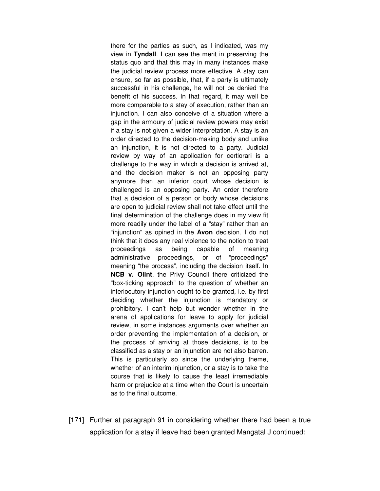there for the parties as such, as I indicated, was my view in **Tyndall**. I can see the merit in preserving the status quo and that this may in many instances make the judicial review process more effective. A stay can ensure, so far as possible, that, if a party is ultimately successful in his challenge, he will not be denied the benefit of his success. In that regard, it may well be more comparable to a stay of execution, rather than an injunction. I can also conceive of a situation where a gap in the armoury of judicial review powers may exist if a stay is not given a wider interpretation. A stay is an order directed to the decision-making body and unlike an injunction, it is not directed to a party. Judicial review by way of an application for certiorari is a challenge to the way in which a decision is arrived at, and the decision maker is not an opposing party anymore than an inferior court whose decision is challenged is an opposing party. An order therefore that a decision of a person or body whose decisions are open to judicial review shall not take effect until the final determination of the challenge does in my view fit more readily under the label of a "stay" rather than an "injunction" as opined in the **Avon** decision. I do not think that it does any real violence to the notion to treat proceedings as being capable of meaning administrative proceedings, or of "proceedings" meaning "the process", including the decision itself. In **NCB v. Olint**, the Privy Council there criticized the "box-ticking approach" to the question of whether an interlocutory injunction ought to be granted, i.e. by first deciding whether the injunction is mandatory or prohibitory. I can't help but wonder whether in the arena of applications for leave to apply for judicial review, in some instances arguments over whether an order preventing the implementation of a decision, or the process of arriving at those decisions, is to be classified as a stay or an injunction are not also barren. This is particularly so since the underlying theme, whether of an interim injunction, or a stay is to take the course that is likely to cause the least irremediable harm or prejudice at a time when the Court is uncertain as to the final outcome.

[171] Further at paragraph 91 in considering whether there had been a true application for a stay if leave had been granted Mangatal J continued: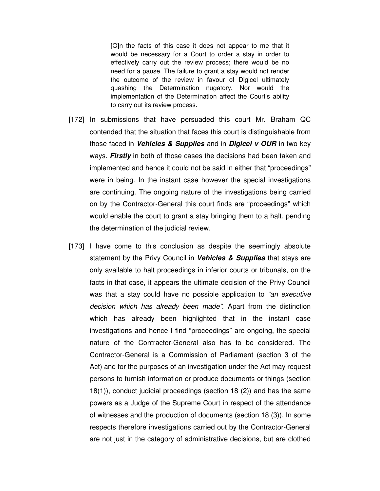[O]n the facts of this case it does not appear to me that it would be necessary for a Court to order a stay in order to effectively carry out the review process; there would be no need for a pause. The failure to grant a stay would not render the outcome of the review in favour of Digicel ultimately quashing the Determination nugatory. Nor would the implementation of the Determination affect the Court's ability to carry out its review process.

- [172] In submissions that have persuaded this court Mr. Braham QC contended that the situation that faces this court is distinguishable from those faced in **Vehicles & Supplies** and in **Digicel v OUR** in two key ways. **Firstly** in both of those cases the decisions had been taken and implemented and hence it could not be said in either that "proceedings" were in being. In the instant case however the special investigations are continuing. The ongoing nature of the investigations being carried on by the Contractor-General this court finds are "proceedings" which would enable the court to grant a stay bringing them to a halt, pending the determination of the judicial review.
- [173] I have come to this conclusion as despite the seemingly absolute statement by the Privy Council in **Vehicles & Supplies** that stays are only available to halt proceedings in inferior courts or tribunals, on the facts in that case, it appears the ultimate decision of the Privy Council was that a stay could have no possible application to "an executive decision which has already been made". Apart from the distinction which has already been highlighted that in the instant case investigations and hence I find "proceedings" are ongoing, the special nature of the Contractor-General also has to be considered. The Contractor-General is a Commission of Parliament (section 3 of the Act) and for the purposes of an investigation under the Act may request persons to furnish information or produce documents or things (section 18(1)), conduct judicial proceedings (section 18 (2)) and has the same powers as a Judge of the Supreme Court in respect of the attendance of witnesses and the production of documents (section 18 (3)). In some respects therefore investigations carried out by the Contractor-General are not just in the category of administrative decisions, but are clothed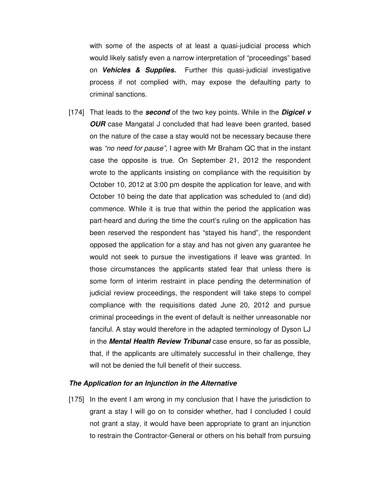with some of the aspects of at least a quasi-judicial process which would likely satisfy even a narrow interpretation of "proceedings" based on **Vehicles & Supplies.** Further this quasi-judicial investigative process if not complied with, may expose the defaulting party to criminal sanctions.

[174] That leads to the **second** of the two key points. While in the **Digicel v OUR** case Mangatal J concluded that had leave been granted, based on the nature of the case a stay would not be necessary because there was "no need for pause". I agree with Mr Braham QC that in the instant case the opposite is true. On September 21, 2012 the respondent wrote to the applicants insisting on compliance with the requisition by October 10, 2012 at 3:00 pm despite the application for leave, and with October 10 being the date that application was scheduled to (and did) commence. While it is true that within the period the application was part-heard and during the time the court's ruling on the application has been reserved the respondent has "stayed his hand", the respondent opposed the application for a stay and has not given any guarantee he would not seek to pursue the investigations if leave was granted. In those circumstances the applicants stated fear that unless there is some form of interim restraint in place pending the determination of judicial review proceedings, the respondent will take steps to compel compliance with the requisitions dated June 20, 2012 and pursue criminal proceedings in the event of default is neither unreasonable nor fanciful. A stay would therefore in the adapted terminology of Dyson LJ in the **Mental Health Review Tribunal** case ensure, so far as possible, that, if the applicants are ultimately successful in their challenge, they will not be denied the full benefit of their success.

#### **The Application for an Injunction in the Alternative**

[175] In the event I am wrong in my conclusion that I have the jurisdiction to grant a stay I will go on to consider whether, had I concluded I could not grant a stay, it would have been appropriate to grant an injunction to restrain the Contractor-General or others on his behalf from pursuing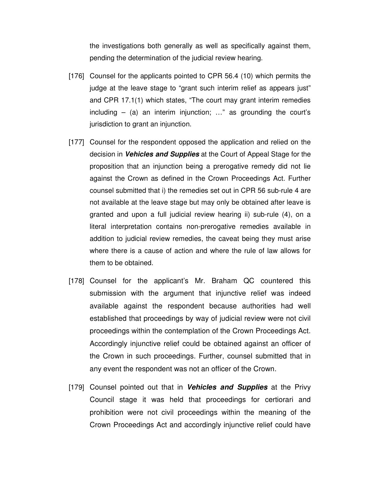the investigations both generally as well as specifically against them, pending the determination of the judicial review hearing.

- [176] Counsel for the applicants pointed to CPR 56.4 (10) which permits the judge at the leave stage to "grant such interim relief as appears just" and CPR 17.1(1) which states, "The court may grant interim remedies including  $-$  (a) an interim injunction; ..." as grounding the court's jurisdiction to grant an injunction.
- [177] Counsel for the respondent opposed the application and relied on the decision in **Vehicles and Supplies** at the Court of Appeal Stage for the proposition that an injunction being a prerogative remedy did not lie against the Crown as defined in the Crown Proceedings Act. Further counsel submitted that i) the remedies set out in CPR 56 sub-rule 4 are not available at the leave stage but may only be obtained after leave is granted and upon a full judicial review hearing ii) sub-rule (4), on a literal interpretation contains non-prerogative remedies available in addition to judicial review remedies, the caveat being they must arise where there is a cause of action and where the rule of law allows for them to be obtained.
- [178] Counsel for the applicant's Mr. Braham QC countered this submission with the argument that injunctive relief was indeed available against the respondent because authorities had well established that proceedings by way of judicial review were not civil proceedings within the contemplation of the Crown Proceedings Act. Accordingly injunctive relief could be obtained against an officer of the Crown in such proceedings. Further, counsel submitted that in any event the respondent was not an officer of the Crown.
- [179] Counsel pointed out that in **Vehicles and Supplies** at the Privy Council stage it was held that proceedings for certiorari and prohibition were not civil proceedings within the meaning of the Crown Proceedings Act and accordingly injunctive relief could have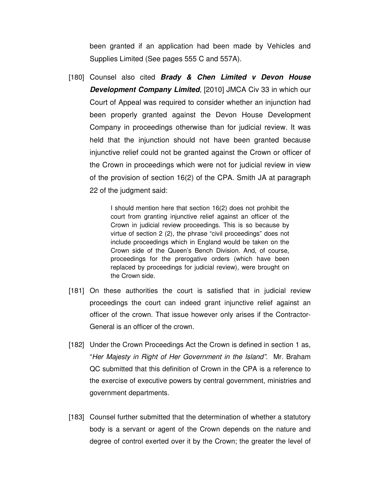been granted if an application had been made by Vehicles and Supplies Limited (See pages 555 C and 557A).

[180] Counsel also cited **Brady & Chen Limited v Devon House Development Company Limited, [2010] JMCA Civ 33 in which our** Court of Appeal was required to consider whether an injunction had been properly granted against the Devon House Development Company in proceedings otherwise than for judicial review. It was held that the injunction should not have been granted because injunctive relief could not be granted against the Crown or officer of the Crown in proceedings which were not for judicial review in view of the provision of section 16(2) of the CPA. Smith JA at paragraph 22 of the judgment said:

> I should mention here that section 16(2) does not prohibit the court from granting injunctive relief against an officer of the Crown in judicial review proceedings. This is so because by virtue of section 2 (2), the phrase "civil proceedings" does not include proceedings which in England would be taken on the Crown side of the Queen's Bench Division. And, of course, proceedings for the prerogative orders (which have been replaced by proceedings for judicial review), were brought on the Crown side.

- [181] On these authorities the court is satisfied that in judicial review proceedings the court can indeed grant injunctive relief against an officer of the crown. That issue however only arises if the Contractor-General is an officer of the crown.
- [182] Under the Crown Proceedings Act the Crown is defined in section 1 as, "Her Majesty in Right of Her Government in the Island". Mr. Braham QC submitted that this definition of Crown in the CPA is a reference to the exercise of executive powers by central government, ministries and government departments.
- [183] Counsel further submitted that the determination of whether a statutory body is a servant or agent of the Crown depends on the nature and degree of control exerted over it by the Crown; the greater the level of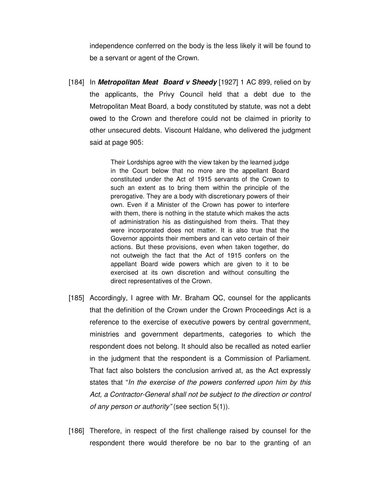independence conferred on the body is the less likely it will be found to be a servant or agent of the Crown.

[184] In **Metropolitan Meat Board v Sheedy** [1927] 1 AC 899, relied on by the applicants, the Privy Council held that a debt due to the Metropolitan Meat Board, a body constituted by statute, was not a debt owed to the Crown and therefore could not be claimed in priority to other unsecured debts. Viscount Haldane, who delivered the judgment said at page 905:

> Their Lordships agree with the view taken by the learned judge in the Court below that no more are the appellant Board constituted under the Act of 1915 servants of the Crown to such an extent as to bring them within the principle of the prerogative. They are a body with discretionary powers of their own. Even if a Minister of the Crown has power to interfere with them, there is nothing in the statute which makes the acts of administration his as distinguished from theirs. That they were incorporated does not matter. It is also true that the Governor appoints their members and can veto certain of their actions. But these provisions, even when taken together, do not outweigh the fact that the Act of 1915 confers on the appellant Board wide powers which are given to it to be exercised at its own discretion and without consulting the direct representatives of the Crown.

- [185] Accordingly, I agree with Mr. Braham QC, counsel for the applicants that the definition of the Crown under the Crown Proceedings Act is a reference to the exercise of executive powers by central government, ministries and government departments, categories to which the respondent does not belong. It should also be recalled as noted earlier in the judgment that the respondent is a Commission of Parliament. That fact also bolsters the conclusion arrived at, as the Act expressly states that "In the exercise of the powers conferred upon him by this Act, a Contractor-General shall not be subject to the direction or control of any person or authority" (see section 5(1)).
- [186] Therefore, in respect of the first challenge raised by counsel for the respondent there would therefore be no bar to the granting of an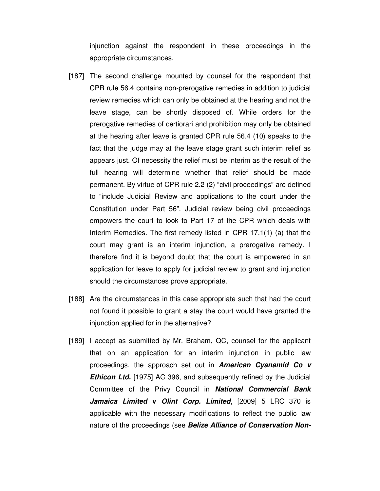injunction against the respondent in these proceedings in the appropriate circumstances.

- [187] The second challenge mounted by counsel for the respondent that CPR rule 56.4 contains non-prerogative remedies in addition to judicial review remedies which can only be obtained at the hearing and not the leave stage, can be shortly disposed of. While orders for the prerogative remedies of certiorari and prohibition may only be obtained at the hearing after leave is granted CPR rule 56.4 (10) speaks to the fact that the judge may at the leave stage grant such interim relief as appears just. Of necessity the relief must be interim as the result of the full hearing will determine whether that relief should be made permanent. By virtue of CPR rule 2.2 (2) "civil proceedings" are defined to "include Judicial Review and applications to the court under the Constitution under Part 56". Judicial review being civil proceedings empowers the court to look to Part 17 of the CPR which deals with Interim Remedies. The first remedy listed in CPR 17.1(1) (a) that the court may grant is an interim injunction, a prerogative remedy. I therefore find it is beyond doubt that the court is empowered in an application for leave to apply for judicial review to grant and injunction should the circumstances prove appropriate.
- [188] Are the circumstances in this case appropriate such that had the court not found it possible to grant a stay the court would have granted the injunction applied for in the alternative?
- [189] I accept as submitted by Mr. Braham, QC, counsel for the applicant that on an application for an interim injunction in public law proceedings, the approach set out in **American Cyanamid Co v Ethicon Ltd.** [1975] AC 396, and subsequently refined by the Judicial Committee of the Privy Council in **National Commercial Bank Jamaica Limited v Olint Corp. Limited**, [2009] 5 LRC 370 is applicable with the necessary modifications to reflect the public law nature of the proceedings (see **Belize Alliance of Conservation Non-**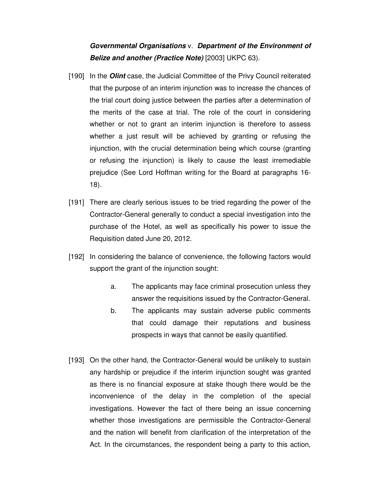## **Governmental Organisations** v. **Department of the Environment of Belize and another (Practice Note)** [2003] UKPC 63).

- [190] In the **Olint** case, the Judicial Committee of the Privy Council reiterated that the purpose of an interim injunction was to increase the chances of the trial court doing justice between the parties after a determination of the merits of the case at trial. The role of the court in considering whether or not to grant an interim injunction is therefore to assess whether a just result will be achieved by granting or refusing the injunction, with the crucial determination being which course (granting or refusing the injunction) is likely to cause the least irremediable prejudice (See Lord Hoffman writing for the Board at paragraphs 16- 18).
- [191] There are clearly serious issues to be tried regarding the power of the Contractor-General generally to conduct a special investigation into the purchase of the Hotel, as well as specifically his power to issue the Requisition dated June 20, 2012.
- [192] In considering the balance of convenience, the following factors would support the grant of the injunction sought:
	- a. The applicants may face criminal prosecution unless they answer the requisitions issued by the Contractor-General.
	- b. The applicants may sustain adverse public comments that could damage their reputations and business prospects in ways that cannot be easily quantified.
- [193] On the other hand, the Contractor-General would be unlikely to sustain any hardship or prejudice if the interim injunction sought was granted as there is no financial exposure at stake though there would be the inconvenience of the delay in the completion of the special investigations. However the fact of there being an issue concerning whether those investigations are permissible the Contractor-General and the nation will benefit from clarification of the interpretation of the Act. In the circumstances, the respondent being a party to this action,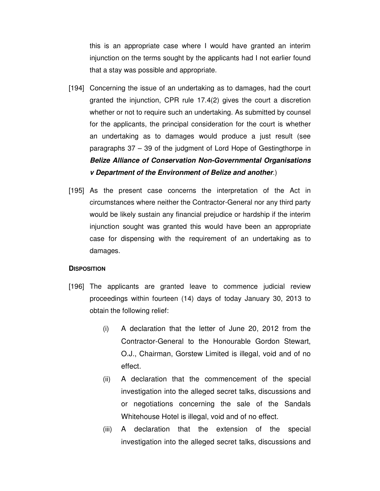this is an appropriate case where I would have granted an interim injunction on the terms sought by the applicants had I not earlier found that a stay was possible and appropriate.

- [194] Concerning the issue of an undertaking as to damages, had the court granted the injunction, CPR rule 17.4(2) gives the court a discretion whether or not to require such an undertaking. As submitted by counsel for the applicants, the principal consideration for the court is whether an undertaking as to damages would produce a just result (see paragraphs 37 – 39 of the judgment of Lord Hope of Gestingthorpe in **Belize Alliance of Conservation Non-Governmental Organisations v Department of the Environment of Belize and another**.)
- [195] As the present case concerns the interpretation of the Act in circumstances where neither the Contractor-General nor any third party would be likely sustain any financial prejudice or hardship if the interim injunction sought was granted this would have been an appropriate case for dispensing with the requirement of an undertaking as to damages.

## **DISPOSITION**

- [196] The applicants are granted leave to commence judicial review proceedings within fourteen (14) days of today January 30, 2013 to obtain the following relief:
	- (i) A declaration that the letter of June 20, 2012 from the Contractor-General to the Honourable Gordon Stewart, O.J., Chairman, Gorstew Limited is illegal, void and of no effect.
	- (ii) A declaration that the commencement of the special investigation into the alleged secret talks, discussions and or negotiations concerning the sale of the Sandals Whitehouse Hotel is illegal, void and of no effect.
	- (iii) A declaration that the extension of the special investigation into the alleged secret talks, discussions and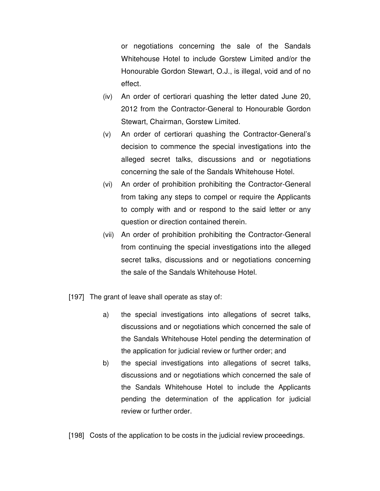or negotiations concerning the sale of the Sandals Whitehouse Hotel to include Gorstew Limited and/or the Honourable Gordon Stewart, O.J., is illegal, void and of no effect.

- (iv) An order of certiorari quashing the letter dated June 20, 2012 from the Contractor-General to Honourable Gordon Stewart, Chairman, Gorstew Limited.
- (v) An order of certiorari quashing the Contractor-General's decision to commence the special investigations into the alleged secret talks, discussions and or negotiations concerning the sale of the Sandals Whitehouse Hotel.
- (vi) An order of prohibition prohibiting the Contractor-General from taking any steps to compel or require the Applicants to comply with and or respond to the said letter or any question or direction contained therein.
- (vii) An order of prohibition prohibiting the Contractor-General from continuing the special investigations into the alleged secret talks, discussions and or negotiations concerning the sale of the Sandals Whitehouse Hotel.
- [197] The grant of leave shall operate as stay of:
	- a) the special investigations into allegations of secret talks, discussions and or negotiations which concerned the sale of the Sandals Whitehouse Hotel pending the determination of the application for judicial review or further order; and
	- b) the special investigations into allegations of secret talks, discussions and or negotiations which concerned the sale of the Sandals Whitehouse Hotel to include the Applicants pending the determination of the application for judicial review or further order.

[198] Costs of the application to be costs in the judicial review proceedings.